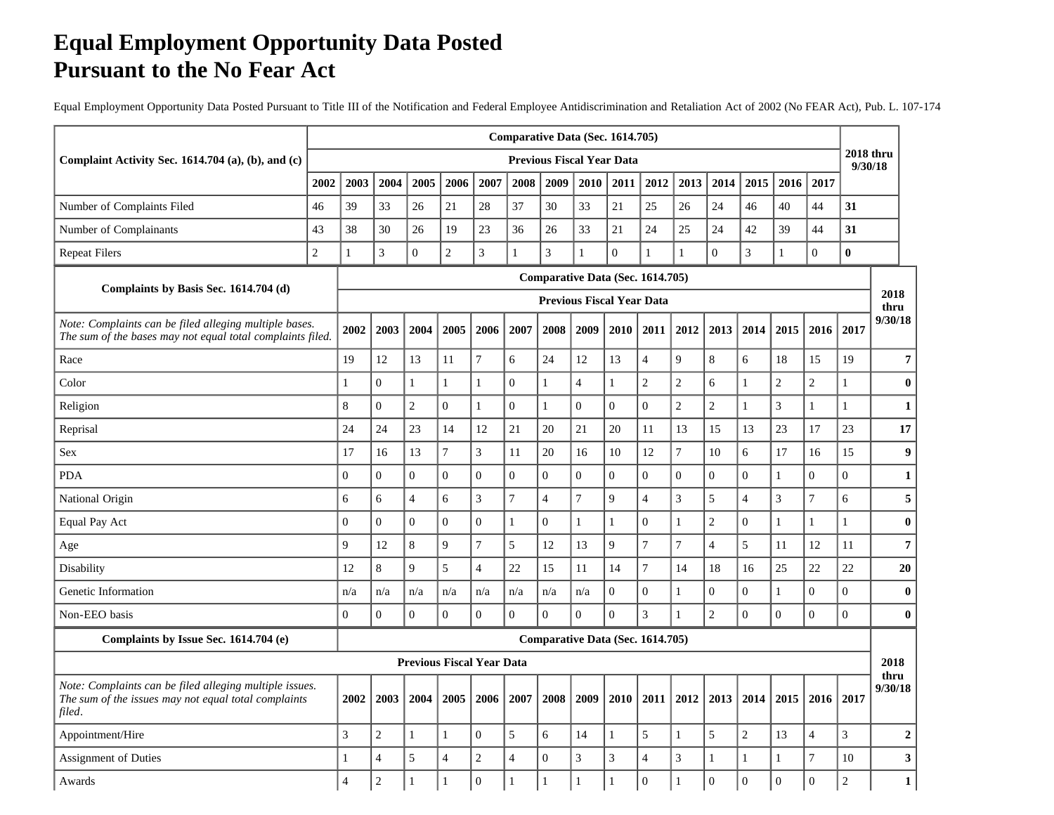## **Equal Employment Opportunity Data Posted Pursuant to the No Fear Act**

Equal Employment Opportunity Data Posted Pursuant to Title III of the Notification and Federal Employee Antidiscrimination and Retaliation Act of 2002 (No FEAR Act), Pub. L. 107-174

|                                                                                                                           |                |                |                  |                  |                                  |                  |                  |                | Comparative Data (Sec. 1614.705)                                     |                  |                |                  |                  |                  |                |                  |                             |                  |
|---------------------------------------------------------------------------------------------------------------------------|----------------|----------------|------------------|------------------|----------------------------------|------------------|------------------|----------------|----------------------------------------------------------------------|------------------|----------------|------------------|------------------|------------------|----------------|------------------|-----------------------------|------------------|
| Complaint Activity Sec. 1614.704 (a), (b), and (c)                                                                        |                |                |                  |                  |                                  |                  |                  |                | <b>Previous Fiscal Year Data</b>                                     |                  |                |                  |                  |                  |                |                  | <b>2018 thru</b><br>9/30/18 |                  |
|                                                                                                                           | 2002           | 2003           | 2004             | 2005             | 2006                             | 2007             | 2008             | 2009           | 2010                                                                 | 2011             | 2012           | 2013             | 2014             | 2015             | 2016           | 2017             |                             |                  |
| Number of Complaints Filed                                                                                                | 46             | 39             | 33               | 26               | 21                               | 28               | 37               | 30             | 33                                                                   | 21               | $25\,$         | 26               | 24               | 46               | 40             | 44               | 31                          |                  |
| Number of Complainants                                                                                                    | 43             | 38             | 30               | 26               | 19                               | 23               | 36               | 26             | 33                                                                   | 21               | 24             | 25               | 24               | 42               | 39             | 44               | 31                          |                  |
| <b>Repeat Filers</b>                                                                                                      | $\overline{c}$ | 1              | 3                | $\overline{0}$   | $\overline{c}$                   | $\mathfrak{Z}$   | $\mathbf{1}$     | $\overline{3}$ | $\mathbf{1}$                                                         | $\Omega$         | $\mathbf{1}$   | $\mathbf{1}$     | $\overline{0}$   | $\mathfrak 3$    | $\mathbf{1}$   | $\overline{0}$   | $\bf{0}$                    |                  |
| Complaints by Basis Sec. 1614.704 (d)                                                                                     |                |                |                  |                  |                                  |                  |                  |                | Comparative Data (Sec. 1614.705)<br><b>Previous Fiscal Year Data</b> |                  |                |                  |                  |                  |                |                  |                             | 2018<br>thru     |
| Note: Complaints can be filed alleging multiple bases.<br>The sum of the bases may not equal total complaints filed.      |                | 2002           | 2003             | 2004             | 2005                             | 2006             | 2007             | 2008           | 2009                                                                 | 2010             | 2011           | 2012             | 2013             | 2014             | 2015           | 2016             | 2017                        | 9/30/18          |
| Race                                                                                                                      |                | 19             | 12               | 13               | 11                               | $\overline{7}$   | 6                | 24             | 12                                                                   | 13               | $\overline{4}$ | 9                | 8                | 6                | 18             | 15               | 19                          | $\overline{7}$   |
| Color                                                                                                                     |                |                | $\Omega$         | $\mathbf{1}$     | $\mathbf{1}$                     | $\mathbf{1}$     | $\boldsymbol{0}$ | $\mathbf{1}$   | $\overline{4}$                                                       | $\mathbf{1}$     | $\overline{c}$ | $\sqrt{2}$       | 6                | $\mathbf{1}$     | $\overline{2}$ | $\overline{c}$   | 1                           | $\bf{0}$         |
| Religion                                                                                                                  |                | 8              | $\overline{0}$   | $\sqrt{2}$       | $\mathbf{0}$                     | $\mathbf{1}$     | $\overline{0}$   | $\mathbf{1}$   | $\mathbf{0}$                                                         | $\overline{0}$   | $\overline{0}$ | $\sqrt{2}$       | $\sqrt{2}$       | $\mathbf{1}$     | $\mathfrak{Z}$ | $\mathbf{1}$     | $\mathbf{1}$                | $\mathbf{1}$     |
| Reprisal                                                                                                                  |                | 24             | 24               | 23               | 14                               | 12               | 21               | 20             | 21                                                                   | 20               | 11             | 13               | 15               | 13               | 23             | 17               | 23                          | 17               |
| Sex                                                                                                                       |                | 17             | 16               | 13               | $\overline{7}$                   | $\mathfrak{Z}$   | 11               | 20             | 16                                                                   | $10\,$           | 12             | $\boldsymbol{7}$ | 10               | 6                | 17             | 16               | 15                          | $\boldsymbol{9}$ |
| <b>PDA</b>                                                                                                                |                | $\Omega$       | $\mathbf{0}$     | $\overline{0}$   | $\overline{0}$                   | $\overline{0}$   | $\boldsymbol{0}$ | $\overline{0}$ | $\boldsymbol{0}$                                                     | $\overline{0}$   | $\overline{0}$ | $\overline{0}$   | $\boldsymbol{0}$ | $\overline{0}$   | 1              | $\boldsymbol{0}$ | $\overline{0}$              | $\mathbf{1}$     |
| National Origin                                                                                                           |                | 6              | 6                | $\overline{4}$   | 6                                | 3                | $\overline{7}$   | $\overline{4}$ | $\overline{7}$                                                       | 9                | $\overline{4}$ | 3                | 5                | $\overline{4}$   | 3              | $\overline{7}$   | 6                           | 5                |
| Equal Pay Act                                                                                                             |                | $\Omega$       | $\Omega$         | $\theta$         | $\overline{0}$                   | $\Omega$         | 1                | $\Omega$       | 1                                                                    | $\mathbf{1}$     | $\Omega$       | $\mathbf{1}$     | $\sqrt{2}$       | $\overline{0}$   | $\mathbf{1}$   | $\mathbf{1}$     | $\mathbf{1}$                | $\bf{0}$         |
| Age                                                                                                                       |                | 9              | 12               | $8\,$            | 9                                | $\tau$           | 5                | 12             | 13                                                                   | 9                | $\overline{7}$ | $\boldsymbol{7}$ | $\overline{4}$   | 5                | 11             | 12               | 11                          | $\overline{7}$   |
| Disability                                                                                                                |                | 12             | 8                | 9                | 5                                | $\overline{4}$   | 22               | 15             | 11                                                                   | 14               | $\overline{7}$ | 14               | 18               | 16               | 25             | 22               | 22                          | 20               |
| Genetic Information                                                                                                       |                | n/a            | n/a              | n/a              | n/a                              | n/a              | n/a              | n/a            | n/a                                                                  | $\mathbf{0}$     | $\overline{0}$ | 1                | $\boldsymbol{0}$ | $\boldsymbol{0}$ | $\mathbf{1}$   | $\overline{0}$   | $\overline{0}$              | $\bf{0}$         |
| Non-EEO basis                                                                                                             |                | $\overline{0}$ | $\boldsymbol{0}$ | $\boldsymbol{0}$ | $\overline{0}$                   | $\boldsymbol{0}$ | $\overline{0}$   | $\overline{0}$ | $\boldsymbol{0}$                                                     | $\boldsymbol{0}$ | $\mathfrak{Z}$ | $\mathbf{1}$     | $\overline{c}$   | $\boldsymbol{0}$ | $\overline{0}$ | $\overline{0}$   | $\boldsymbol{0}$            | $\bf{0}$         |
| Complaints by Issue Sec. 1614.704 (e)                                                                                     |                |                |                  |                  |                                  |                  |                  |                | Comparative Data (Sec. 1614.705)                                     |                  |                |                  |                  |                  |                |                  |                             |                  |
|                                                                                                                           |                |                |                  |                  | <b>Previous Fiscal Year Data</b> |                  |                  |                |                                                                      |                  |                |                  |                  |                  |                |                  |                             | 2018<br>thru     |
| Note: Complaints can be filed alleging multiple issues.<br>The sum of the issues may not equal total complaints<br>filed. |                | 2002           | 2003             | 2004             | 2005                             | 2006             | 2007             | 2008           | 2009                                                                 | 2010             | 2011           | 2012             | 2013             | 2014             | 2015           | 2016             | 2017                        | 9/30/18          |
| Appointment/Hire                                                                                                          |                | 3              | $\overline{c}$   | $\mathbf{1}$     | 1                                | $\mathbf{0}$     | 5                | 6              | 14                                                                   | $\mathbf{1}$     | 5              | 1                | 5                | $\overline{c}$   | 13             | $\overline{4}$   | $\overline{3}$              | $\mathbf{2}$     |
| <b>Assignment of Duties</b>                                                                                               |                | $\mathbf{1}$   | $\overline{4}$   | 5                | $\overline{4}$                   | $\overline{2}$   | $\overline{4}$   | $\mathbf{0}$   | 3                                                                    | 3                | $\overline{4}$ | $\sqrt{3}$       | $\mathbf{1}$     | $\mathbf{1}$     | $\mathbf{1}$   | $\tau$           | 10                          | $\mathbf{3}$     |
| Awards                                                                                                                    |                | $\overline{4}$ | $\sqrt{2}$       | $\mathbf{1}$     | $\mathbf{1}$                     | $\overline{0}$   | $\mathbf{1}$     | $\mathbf{1}$   | $\mathbf{1}$                                                         | $\mathbf{1}$     | $\theta$       | $\mathbf{1}$     | $\mathbf{0}$     | $\mathbf{0}$     | $\overline{0}$ | $\mathbf{0}$     | $\overline{c}$              | $\mathbf{1}$     |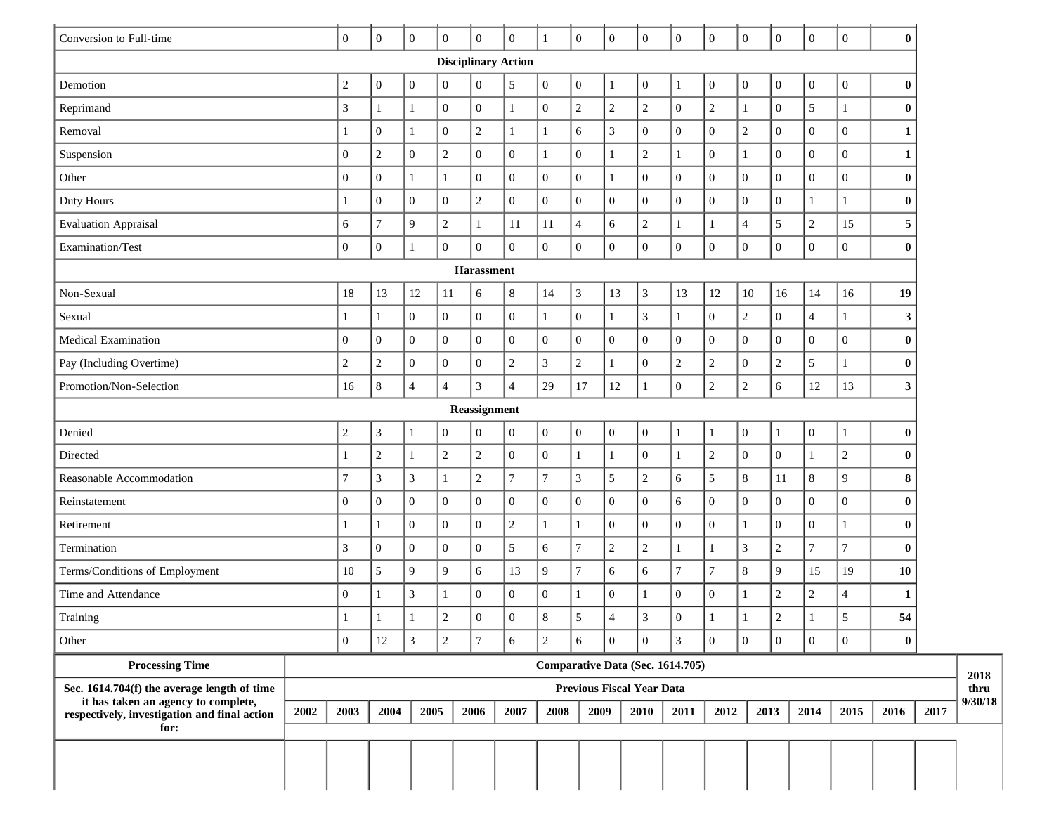| Conversion to Full-time<br>$\mathbf{0}$<br>$\overline{0}$<br>$\overline{0}$<br>$\overline{0}$<br>$\overline{0}$<br>$\overline{0}$<br>$\mathbf{0}$<br>$\mathbf{0}$<br>$\overline{0}$<br>$\mathbf{0}$<br>$\boldsymbol{0}$<br>$\mathbf{0}$<br>$\boldsymbol{0}$<br>$\boldsymbol{0}$<br>$\mathbf{0}$<br>$\bf{0}$<br>$\mathbf{1}$<br><b>Disciplinary Action</b><br>$\boldsymbol{0}$<br>$\sqrt{5}$<br>$\boldsymbol{0}$<br>Demotion<br>$\boldsymbol{2}$<br>$\mathbf{0}$<br>$\boldsymbol{0}$<br>$\mathbf{1}$<br>$\boldsymbol{0}$<br>$\boldsymbol{0}$<br>$\boldsymbol{0}$<br>$\boldsymbol{0}$<br>$\boldsymbol{0}$<br>$\mathbf{0}$<br>$\boldsymbol{0}$<br>$\boldsymbol{0}$<br>$\bf{0}$<br>1<br>$\boldsymbol{0}$<br>$\sqrt{2}$<br>$\sqrt{2}$<br>5<br>$\boldsymbol{0}$<br>$\overline{0}$<br>$\sqrt{2}$<br>$\overline{2}$<br>$\boldsymbol{0}$<br>Reprimand<br>3<br>$\mathbf{1}$<br>$\overline{0}$<br>$\mathbf{1}$<br>$\mathbf{1}$<br>$\bf{0}$<br>1<br>1<br>$\overline{3}$<br>$\boldsymbol{0}$<br>$\overline{2}$<br>$\overline{0}$<br>$\overline{2}$<br>$\sqrt{6}$<br>$\overline{0}$<br>$\boldsymbol{0}$<br>$\boldsymbol{0}$<br>$\overline{0}$<br>Removal<br>$\mathbf{0}$<br>$\mathbf{1}$<br>$\mathbf{1}$<br>$\mathbf{0}$<br>$\mathbf{1}$<br>1<br>1<br>$\overline{c}$<br>$\overline{c}$<br>$\boldsymbol{0}$<br>$\boldsymbol{0}$<br>$\boldsymbol{0}$<br>$\boldsymbol{0}$<br>Suspension<br>$\overline{0}$<br>$\overline{0}$<br>$\boldsymbol{0}$<br>$\mathbf{1}$<br>$\boldsymbol{0}$<br>$\mathbf{1}$<br>$\overline{c}$<br>$\mathbf{0}$<br>$\mathbf{1}$<br>$\mathbf{1}$<br>1<br>$\overline{0}$<br>$\boldsymbol{0}$<br>$\boldsymbol{0}$<br>$\boldsymbol{0}$<br>$\boldsymbol{0}$<br>$\overline{0}$<br>$\boldsymbol{0}$<br>$\mathbf{1}$<br>$\overline{0}$<br>$\boldsymbol{0}$<br>$\boldsymbol{0}$<br>$\mathbf{0}$<br>$\boldsymbol{0}$<br>$\overline{0}$<br>$\bf{0}$<br>Other<br>$\mathbf{1}$<br>$\mathbf{1}$<br>$\boldsymbol{0}$<br>$\boldsymbol{0}$<br>$\boldsymbol{0}$<br>$\boldsymbol{0}$<br>$\overline{0}$<br>$\boldsymbol{0}$<br>$\sqrt{2}$<br>$\boldsymbol{0}$<br>$\overline{0}$<br>$\boldsymbol{0}$<br>$\boldsymbol{0}$<br>Duty Hours<br>$\mathbf{0}$<br>0<br>$\mathbf{1}$<br>$\bf{0}$<br>9<br>$\overline{c}$<br>$\sqrt{6}$<br>$\sqrt{5}$<br>$\overline{c}$<br>7<br>11<br>11<br>$\overline{c}$<br>$\overline{4}$<br>15<br><b>Evaluation Appraisal</b><br>6<br>$\overline{4}$<br>5<br>$\mathbf{1}$<br>1<br>$\boldsymbol{0}$<br>$\boldsymbol{0}$<br>$\overline{0}$<br>$\overline{0}$<br>$\boldsymbol{0}$<br>$\boldsymbol{0}$<br>$\overline{0}$<br>$\overline{0}$<br>$\overline{0}$<br>$\boldsymbol{0}$<br>$\overline{0}$<br>$\mathbf{0}$<br>$\mathbf{0}$<br>$\boldsymbol{0}$<br>$\mathbf{0}$<br>$\bf{0}$<br>Examination/Test<br>$\mathbf{1}$<br><b>Harassment</b><br>$\,8\,$<br>13<br>Non-Sexual<br>18<br>13<br>12<br>14<br>3<br>3<br>13<br>12<br>$10\,$<br>14<br>19<br>11<br>6<br>16<br>16<br>$\sqrt{2}$<br>$\boldsymbol{0}$<br>$\mathfrak{Z}$<br>$\overline{0}$<br>$\overline{0}$<br>$\overline{0}$<br>$\mathbf{1}$<br>$\boldsymbol{0}$<br>$\,1\,$<br>$\boldsymbol{0}$<br>$\boldsymbol{0}$<br>$\overline{4}$<br>Sexual<br>1<br>3<br>1<br>1<br>$\mathbf{0}$<br>$\boldsymbol{0}$<br>$\overline{0}$<br>$\overline{0}$<br>$\overline{0}$<br>$\overline{0}$<br>$\mathbf{0}$<br>$\boldsymbol{0}$<br>$\overline{0}$<br>$\boldsymbol{0}$<br>$\overline{0}$<br>$\boldsymbol{0}$<br>$\overline{0}$<br>$\boldsymbol{0}$<br>Medical Examination<br>$\mathbf{0}$<br>$\overline{0}$<br>$\bf{0}$<br>$\overline{3}$<br>$\mathfrak{S}$<br>$\overline{c}$<br>$\overline{c}$<br>$\sqrt{2}$<br>$\sqrt{2}$<br>$\overline{0}$<br>$\overline{c}$<br>$\overline{2}$<br>$\sqrt{2}$<br>$\overline{0}$<br>$\overline{0}$<br>$\boldsymbol{0}$<br>$\mathbf{1}$<br>$\mathbf{0}$<br>Pay (Including Overtime)<br>$\bf{0}$<br>1<br>$\overline{c}$<br>$8\,$<br>$\overline{4}$<br>3<br>$\overline{4}$<br>29<br>$\boldsymbol{0}$<br>$\sqrt{2}$<br>$\epsilon$<br>12<br>Promotion/Non-Selection<br>$\overline{4}$<br>17<br>12<br>13<br>3<br>16<br>1<br>Reassignment<br>$\mathbf{0}$<br>$\boldsymbol{0}$<br>$\boldsymbol{0}$<br>Denied<br>$\boldsymbol{2}$<br>$\mathfrak{Z}$<br>$\boldsymbol{0}$<br>$\boldsymbol{0}$<br>$\overline{0}$<br>$\boldsymbol{0}$<br>$\mathbf{0}$<br>$\mathbf{0}$<br>$\bf{0}$<br>$\mathbf{1}$<br>1<br>$\mathbf{1}$<br>1<br>1<br>$\sqrt{2}$<br>$\overline{c}$<br>$\sqrt{2}$<br>$\boldsymbol{0}$<br>$\mathbf{0}$<br>$\sqrt{2}$<br>$\boldsymbol{0}$<br>$\mathbf{1}$<br>$\overline{0}$<br>$\mathbf{0}$<br>$\overline{c}$<br>Directed<br>$\mathbf{1}$<br>$\bf{0}$<br>$\mathbf{1}$<br>1<br>1<br>$\overline{7}$<br>$\sqrt{5}$<br>$\mathfrak{S}$<br>$\mathfrak{Z}$<br>3<br>$\boldsymbol{7}$<br>$\,8\,$<br>$8\,$<br>$\tau$<br>$\boldsymbol{2}$<br>3<br>$\overline{c}$<br>6<br>9<br>8<br>Reasonable Accommodation<br>$\mathbf{1}$<br>11<br>$\overline{0}$<br>$\mathbf{0}$<br>$\overline{0}$<br>$\overline{0}$<br>$\overline{0}$<br>$\overline{0}$<br>$\overline{0}$<br>$\boldsymbol{0}$<br>$\boldsymbol{0}$<br>$\overline{0}$<br>$\overline{0}$<br>$\overline{0}$<br>$\overline{0}$<br>$\overline{0}$<br>6<br>$\Omega$<br>Reinstatement<br>$\bf{0}$<br>$\boldsymbol{0}$<br>$\sqrt{2}$<br>$\boldsymbol{0}$<br>$\overline{0}$<br>$\overline{0}$<br>$\overline{0}$<br>$\boldsymbol{0}$<br>$\overline{0}$<br>$\boldsymbol{0}$<br>$\overline{0}$<br>$\mathbf{1}$<br>$\bf{0}$<br>Retirement<br>1<br>1<br>1<br>1<br>$\sqrt{2}$<br>$\boldsymbol{7}$<br>3<br>$\sqrt{5}$<br>$\epsilon$<br>$\tau$<br>$\mathfrak{Z}$<br>$\overline{7}$<br>$\overline{0}$<br>$\boldsymbol{0}$<br>$\sqrt{2}$<br>$\sqrt{2}$<br>$\mathbf{0}$<br>$\mathbf{0}$<br>$\mathbf{1}$<br>$\bf{0}$<br>Termination<br>$\mathbf{1}$<br>$\boldsymbol{7}$<br>$\sqrt{5}$<br>9<br>9<br>9<br>$\overline{7}$<br>$\sqrt{6}$<br>6<br>$\boldsymbol{7}$<br>$\,8\,$<br>9<br>15<br>10<br>6<br>13<br>19<br>10<br>Terms/Conditions of Employment<br>3<br>$\overline{0}$<br>$\boldsymbol{0}$<br>$\boldsymbol{0}$<br>$\overline{0}$<br>$\overline{2}$<br>$\overline{0}$<br>$\mathbf{0}$<br>$\overline{0}$<br>$\mathfrak{2}$<br>Time and Attendance<br>$\overline{4}$<br>1<br>1<br>1<br>$\mathbf{1}$<br>1<br>$\Omega$<br>8<br>$\overline{\Lambda}$<br>$\mathcal{D}$<br>$\mathcal{D}$<br>$\overline{5}$<br>$\mathcal{F}$<br>$\overline{5}$<br>54<br>$\Omega$<br>$\Omega$<br>Training<br>3<br>$\overline{2}$<br>$\boldsymbol{0}$<br>$\mathfrak{Z}$<br>$\boldsymbol{0}$<br>$\mathbf{0}$<br>$\overline{0}$<br>$12\,$<br>$\overline{c}$<br>$\tau$<br>6<br>$\overline{0}$<br>$\mathbf{0}$<br>$\overline{0}$<br>$\mathbf{0}$<br>$\bf{0}$<br>Other<br>6<br><b>Processing Time</b><br>Comparative Data (Sec. 1614.705)<br>Sec. 1614.704(f) the average length of time<br>Previous Fiscal Year Data<br>it has taken an agency to complete, |                                              |      |      |      |  |      |      |      |  |      |      |      |  |      |      |      |      |         |
|------------------------------------------------------------------------------------------------------------------------------------------------------------------------------------------------------------------------------------------------------------------------------------------------------------------------------------------------------------------------------------------------------------------------------------------------------------------------------------------------------------------------------------------------------------------------------------------------------------------------------------------------------------------------------------------------------------------------------------------------------------------------------------------------------------------------------------------------------------------------------------------------------------------------------------------------------------------------------------------------------------------------------------------------------------------------------------------------------------------------------------------------------------------------------------------------------------------------------------------------------------------------------------------------------------------------------------------------------------------------------------------------------------------------------------------------------------------------------------------------------------------------------------------------------------------------------------------------------------------------------------------------------------------------------------------------------------------------------------------------------------------------------------------------------------------------------------------------------------------------------------------------------------------------------------------------------------------------------------------------------------------------------------------------------------------------------------------------------------------------------------------------------------------------------------------------------------------------------------------------------------------------------------------------------------------------------------------------------------------------------------------------------------------------------------------------------------------------------------------------------------------------------------------------------------------------------------------------------------------------------------------------------------------------------------------------------------------------------------------------------------------------------------------------------------------------------------------------------------------------------------------------------------------------------------------------------------------------------------------------------------------------------------------------------------------------------------------------------------------------------------------------------------------------------------------------------------------------------------------------------------------------------------------------------------------------------------------------------------------------------------------------------------------------------------------------------------------------------------------------------------------------------------------------------------------------------------------------------------------------------------------------------------------------------------------------------------------------------------------------------------------------------------------------------------------------------------------------------------------------------------------------------------------------------------------------------------------------------------------------------------------------------------------------------------------------------------------------------------------------------------------------------------------------------------------------------------------------------------------------------------------------------------------------------------------------------------------------------------------------------------------------------------------------------------------------------------------------------------------------------------------------------------------------------------------------------------------------------------------------------------------------------------------------------------------------------------------------------------------------------------------------------------------------------------------------------------------------------------------------------------------------------------------------------------------------------------------------------------------------------------------------------------------------------------------------------------------------------------------------------------------------------------------------------------------------------------------------------------------------------------------------------------------------------------------------------------------------------------------------------------------------------------------------------------------------------------------------------------------------------------------------------------------------------------------------------------------------------------------------------------------------------------------------------------------------------------------------------------------------------------------------------------------------------------------------------------------------------------------------------------------------------------------------------------------------------------------------------------------------------------------------------------------------------------------------------------------------------------------------------------------------------------------------------------------------------------------------------------------------------------------------------------------------------------------------------------------------------------------------------------------------------------------------------------------------------------------------------------------------------------------------------------------------------------------------------------------------------------------------------------------------------------------------------------------------------------------------------|----------------------------------------------|------|------|------|--|------|------|------|--|------|------|------|--|------|------|------|------|---------|
|                                                                                                                                                                                                                                                                                                                                                                                                                                                                                                                                                                                                                                                                                                                                                                                                                                                                                                                                                                                                                                                                                                                                                                                                                                                                                                                                                                                                                                                                                                                                                                                                                                                                                                                                                                                                                                                                                                                                                                                                                                                                                                                                                                                                                                                                                                                                                                                                                                                                                                                                                                                                                                                                                                                                                                                                                                                                                                                                                                                                                                                                                                                                                                                                                                                                                                                                                                                                                                                                                                                                                                                                                                                                                                                                                                                                                                                                                                                                                                                                                                                                                                                                                                                                                                                                                                                                                                                                                                                                                                                                                                                                                                                                                                                                                                                                                                                                                                                                                                                                                                                                                                                                                                                                                                                                                                                                                                                                                                                                                                                                                                                                                                                                                                                                                                                                                                                                                                                                                                                                                                                                                                                                                                                                                                                                                                                                                                                                                                                                                                                                                                                                                                                                                                                              |                                              |      |      |      |  |      |      |      |  |      |      |      |  |      |      |      |      |         |
|                                                                                                                                                                                                                                                                                                                                                                                                                                                                                                                                                                                                                                                                                                                                                                                                                                                                                                                                                                                                                                                                                                                                                                                                                                                                                                                                                                                                                                                                                                                                                                                                                                                                                                                                                                                                                                                                                                                                                                                                                                                                                                                                                                                                                                                                                                                                                                                                                                                                                                                                                                                                                                                                                                                                                                                                                                                                                                                                                                                                                                                                                                                                                                                                                                                                                                                                                                                                                                                                                                                                                                                                                                                                                                                                                                                                                                                                                                                                                                                                                                                                                                                                                                                                                                                                                                                                                                                                                                                                                                                                                                                                                                                                                                                                                                                                                                                                                                                                                                                                                                                                                                                                                                                                                                                                                                                                                                                                                                                                                                                                                                                                                                                                                                                                                                                                                                                                                                                                                                                                                                                                                                                                                                                                                                                                                                                                                                                                                                                                                                                                                                                                                                                                                                                              |                                              |      |      |      |  |      |      |      |  |      |      |      |  |      |      |      |      |         |
|                                                                                                                                                                                                                                                                                                                                                                                                                                                                                                                                                                                                                                                                                                                                                                                                                                                                                                                                                                                                                                                                                                                                                                                                                                                                                                                                                                                                                                                                                                                                                                                                                                                                                                                                                                                                                                                                                                                                                                                                                                                                                                                                                                                                                                                                                                                                                                                                                                                                                                                                                                                                                                                                                                                                                                                                                                                                                                                                                                                                                                                                                                                                                                                                                                                                                                                                                                                                                                                                                                                                                                                                                                                                                                                                                                                                                                                                                                                                                                                                                                                                                                                                                                                                                                                                                                                                                                                                                                                                                                                                                                                                                                                                                                                                                                                                                                                                                                                                                                                                                                                                                                                                                                                                                                                                                                                                                                                                                                                                                                                                                                                                                                                                                                                                                                                                                                                                                                                                                                                                                                                                                                                                                                                                                                                                                                                                                                                                                                                                                                                                                                                                                                                                                                                              |                                              |      |      |      |  |      |      |      |  |      |      |      |  |      |      |      |      |         |
|                                                                                                                                                                                                                                                                                                                                                                                                                                                                                                                                                                                                                                                                                                                                                                                                                                                                                                                                                                                                                                                                                                                                                                                                                                                                                                                                                                                                                                                                                                                                                                                                                                                                                                                                                                                                                                                                                                                                                                                                                                                                                                                                                                                                                                                                                                                                                                                                                                                                                                                                                                                                                                                                                                                                                                                                                                                                                                                                                                                                                                                                                                                                                                                                                                                                                                                                                                                                                                                                                                                                                                                                                                                                                                                                                                                                                                                                                                                                                                                                                                                                                                                                                                                                                                                                                                                                                                                                                                                                                                                                                                                                                                                                                                                                                                                                                                                                                                                                                                                                                                                                                                                                                                                                                                                                                                                                                                                                                                                                                                                                                                                                                                                                                                                                                                                                                                                                                                                                                                                                                                                                                                                                                                                                                                                                                                                                                                                                                                                                                                                                                                                                                                                                                                                              |                                              |      |      |      |  |      |      |      |  |      |      |      |  |      |      |      |      |         |
|                                                                                                                                                                                                                                                                                                                                                                                                                                                                                                                                                                                                                                                                                                                                                                                                                                                                                                                                                                                                                                                                                                                                                                                                                                                                                                                                                                                                                                                                                                                                                                                                                                                                                                                                                                                                                                                                                                                                                                                                                                                                                                                                                                                                                                                                                                                                                                                                                                                                                                                                                                                                                                                                                                                                                                                                                                                                                                                                                                                                                                                                                                                                                                                                                                                                                                                                                                                                                                                                                                                                                                                                                                                                                                                                                                                                                                                                                                                                                                                                                                                                                                                                                                                                                                                                                                                                                                                                                                                                                                                                                                                                                                                                                                                                                                                                                                                                                                                                                                                                                                                                                                                                                                                                                                                                                                                                                                                                                                                                                                                                                                                                                                                                                                                                                                                                                                                                                                                                                                                                                                                                                                                                                                                                                                                                                                                                                                                                                                                                                                                                                                                                                                                                                                                              |                                              |      |      |      |  |      |      |      |  |      |      |      |  |      |      |      |      |         |
|                                                                                                                                                                                                                                                                                                                                                                                                                                                                                                                                                                                                                                                                                                                                                                                                                                                                                                                                                                                                                                                                                                                                                                                                                                                                                                                                                                                                                                                                                                                                                                                                                                                                                                                                                                                                                                                                                                                                                                                                                                                                                                                                                                                                                                                                                                                                                                                                                                                                                                                                                                                                                                                                                                                                                                                                                                                                                                                                                                                                                                                                                                                                                                                                                                                                                                                                                                                                                                                                                                                                                                                                                                                                                                                                                                                                                                                                                                                                                                                                                                                                                                                                                                                                                                                                                                                                                                                                                                                                                                                                                                                                                                                                                                                                                                                                                                                                                                                                                                                                                                                                                                                                                                                                                                                                                                                                                                                                                                                                                                                                                                                                                                                                                                                                                                                                                                                                                                                                                                                                                                                                                                                                                                                                                                                                                                                                                                                                                                                                                                                                                                                                                                                                                                                              |                                              |      |      |      |  |      |      |      |  |      |      |      |  |      |      |      |      |         |
|                                                                                                                                                                                                                                                                                                                                                                                                                                                                                                                                                                                                                                                                                                                                                                                                                                                                                                                                                                                                                                                                                                                                                                                                                                                                                                                                                                                                                                                                                                                                                                                                                                                                                                                                                                                                                                                                                                                                                                                                                                                                                                                                                                                                                                                                                                                                                                                                                                                                                                                                                                                                                                                                                                                                                                                                                                                                                                                                                                                                                                                                                                                                                                                                                                                                                                                                                                                                                                                                                                                                                                                                                                                                                                                                                                                                                                                                                                                                                                                                                                                                                                                                                                                                                                                                                                                                                                                                                                                                                                                                                                                                                                                                                                                                                                                                                                                                                                                                                                                                                                                                                                                                                                                                                                                                                                                                                                                                                                                                                                                                                                                                                                                                                                                                                                                                                                                                                                                                                                                                                                                                                                                                                                                                                                                                                                                                                                                                                                                                                                                                                                                                                                                                                                                              |                                              |      |      |      |  |      |      |      |  |      |      |      |  |      |      |      |      |         |
|                                                                                                                                                                                                                                                                                                                                                                                                                                                                                                                                                                                                                                                                                                                                                                                                                                                                                                                                                                                                                                                                                                                                                                                                                                                                                                                                                                                                                                                                                                                                                                                                                                                                                                                                                                                                                                                                                                                                                                                                                                                                                                                                                                                                                                                                                                                                                                                                                                                                                                                                                                                                                                                                                                                                                                                                                                                                                                                                                                                                                                                                                                                                                                                                                                                                                                                                                                                                                                                                                                                                                                                                                                                                                                                                                                                                                                                                                                                                                                                                                                                                                                                                                                                                                                                                                                                                                                                                                                                                                                                                                                                                                                                                                                                                                                                                                                                                                                                                                                                                                                                                                                                                                                                                                                                                                                                                                                                                                                                                                                                                                                                                                                                                                                                                                                                                                                                                                                                                                                                                                                                                                                                                                                                                                                                                                                                                                                                                                                                                                                                                                                                                                                                                                                                              |                                              |      |      |      |  |      |      |      |  |      |      |      |  |      |      |      |      |         |
|                                                                                                                                                                                                                                                                                                                                                                                                                                                                                                                                                                                                                                                                                                                                                                                                                                                                                                                                                                                                                                                                                                                                                                                                                                                                                                                                                                                                                                                                                                                                                                                                                                                                                                                                                                                                                                                                                                                                                                                                                                                                                                                                                                                                                                                                                                                                                                                                                                                                                                                                                                                                                                                                                                                                                                                                                                                                                                                                                                                                                                                                                                                                                                                                                                                                                                                                                                                                                                                                                                                                                                                                                                                                                                                                                                                                                                                                                                                                                                                                                                                                                                                                                                                                                                                                                                                                                                                                                                                                                                                                                                                                                                                                                                                                                                                                                                                                                                                                                                                                                                                                                                                                                                                                                                                                                                                                                                                                                                                                                                                                                                                                                                                                                                                                                                                                                                                                                                                                                                                                                                                                                                                                                                                                                                                                                                                                                                                                                                                                                                                                                                                                                                                                                                                              |                                              |      |      |      |  |      |      |      |  |      |      |      |  |      |      |      |      |         |
|                                                                                                                                                                                                                                                                                                                                                                                                                                                                                                                                                                                                                                                                                                                                                                                                                                                                                                                                                                                                                                                                                                                                                                                                                                                                                                                                                                                                                                                                                                                                                                                                                                                                                                                                                                                                                                                                                                                                                                                                                                                                                                                                                                                                                                                                                                                                                                                                                                                                                                                                                                                                                                                                                                                                                                                                                                                                                                                                                                                                                                                                                                                                                                                                                                                                                                                                                                                                                                                                                                                                                                                                                                                                                                                                                                                                                                                                                                                                                                                                                                                                                                                                                                                                                                                                                                                                                                                                                                                                                                                                                                                                                                                                                                                                                                                                                                                                                                                                                                                                                                                                                                                                                                                                                                                                                                                                                                                                                                                                                                                                                                                                                                                                                                                                                                                                                                                                                                                                                                                                                                                                                                                                                                                                                                                                                                                                                                                                                                                                                                                                                                                                                                                                                                                              |                                              |      |      |      |  |      |      |      |  |      |      |      |  |      |      |      |      |         |
|                                                                                                                                                                                                                                                                                                                                                                                                                                                                                                                                                                                                                                                                                                                                                                                                                                                                                                                                                                                                                                                                                                                                                                                                                                                                                                                                                                                                                                                                                                                                                                                                                                                                                                                                                                                                                                                                                                                                                                                                                                                                                                                                                                                                                                                                                                                                                                                                                                                                                                                                                                                                                                                                                                                                                                                                                                                                                                                                                                                                                                                                                                                                                                                                                                                                                                                                                                                                                                                                                                                                                                                                                                                                                                                                                                                                                                                                                                                                                                                                                                                                                                                                                                                                                                                                                                                                                                                                                                                                                                                                                                                                                                                                                                                                                                                                                                                                                                                                                                                                                                                                                                                                                                                                                                                                                                                                                                                                                                                                                                                                                                                                                                                                                                                                                                                                                                                                                                                                                                                                                                                                                                                                                                                                                                                                                                                                                                                                                                                                                                                                                                                                                                                                                                                              |                                              |      |      |      |  |      |      |      |  |      |      |      |  |      |      |      |      |         |
|                                                                                                                                                                                                                                                                                                                                                                                                                                                                                                                                                                                                                                                                                                                                                                                                                                                                                                                                                                                                                                                                                                                                                                                                                                                                                                                                                                                                                                                                                                                                                                                                                                                                                                                                                                                                                                                                                                                                                                                                                                                                                                                                                                                                                                                                                                                                                                                                                                                                                                                                                                                                                                                                                                                                                                                                                                                                                                                                                                                                                                                                                                                                                                                                                                                                                                                                                                                                                                                                                                                                                                                                                                                                                                                                                                                                                                                                                                                                                                                                                                                                                                                                                                                                                                                                                                                                                                                                                                                                                                                                                                                                                                                                                                                                                                                                                                                                                                                                                                                                                                                                                                                                                                                                                                                                                                                                                                                                                                                                                                                                                                                                                                                                                                                                                                                                                                                                                                                                                                                                                                                                                                                                                                                                                                                                                                                                                                                                                                                                                                                                                                                                                                                                                                                              |                                              |      |      |      |  |      |      |      |  |      |      |      |  |      |      |      |      |         |
|                                                                                                                                                                                                                                                                                                                                                                                                                                                                                                                                                                                                                                                                                                                                                                                                                                                                                                                                                                                                                                                                                                                                                                                                                                                                                                                                                                                                                                                                                                                                                                                                                                                                                                                                                                                                                                                                                                                                                                                                                                                                                                                                                                                                                                                                                                                                                                                                                                                                                                                                                                                                                                                                                                                                                                                                                                                                                                                                                                                                                                                                                                                                                                                                                                                                                                                                                                                                                                                                                                                                                                                                                                                                                                                                                                                                                                                                                                                                                                                                                                                                                                                                                                                                                                                                                                                                                                                                                                                                                                                                                                                                                                                                                                                                                                                                                                                                                                                                                                                                                                                                                                                                                                                                                                                                                                                                                                                                                                                                                                                                                                                                                                                                                                                                                                                                                                                                                                                                                                                                                                                                                                                                                                                                                                                                                                                                                                                                                                                                                                                                                                                                                                                                                                                              |                                              |      |      |      |  |      |      |      |  |      |      |      |  |      |      |      |      |         |
|                                                                                                                                                                                                                                                                                                                                                                                                                                                                                                                                                                                                                                                                                                                                                                                                                                                                                                                                                                                                                                                                                                                                                                                                                                                                                                                                                                                                                                                                                                                                                                                                                                                                                                                                                                                                                                                                                                                                                                                                                                                                                                                                                                                                                                                                                                                                                                                                                                                                                                                                                                                                                                                                                                                                                                                                                                                                                                                                                                                                                                                                                                                                                                                                                                                                                                                                                                                                                                                                                                                                                                                                                                                                                                                                                                                                                                                                                                                                                                                                                                                                                                                                                                                                                                                                                                                                                                                                                                                                                                                                                                                                                                                                                                                                                                                                                                                                                                                                                                                                                                                                                                                                                                                                                                                                                                                                                                                                                                                                                                                                                                                                                                                                                                                                                                                                                                                                                                                                                                                                                                                                                                                                                                                                                                                                                                                                                                                                                                                                                                                                                                                                                                                                                                                              |                                              |      |      |      |  |      |      |      |  |      |      |      |  |      |      |      |      |         |
|                                                                                                                                                                                                                                                                                                                                                                                                                                                                                                                                                                                                                                                                                                                                                                                                                                                                                                                                                                                                                                                                                                                                                                                                                                                                                                                                                                                                                                                                                                                                                                                                                                                                                                                                                                                                                                                                                                                                                                                                                                                                                                                                                                                                                                                                                                                                                                                                                                                                                                                                                                                                                                                                                                                                                                                                                                                                                                                                                                                                                                                                                                                                                                                                                                                                                                                                                                                                                                                                                                                                                                                                                                                                                                                                                                                                                                                                                                                                                                                                                                                                                                                                                                                                                                                                                                                                                                                                                                                                                                                                                                                                                                                                                                                                                                                                                                                                                                                                                                                                                                                                                                                                                                                                                                                                                                                                                                                                                                                                                                                                                                                                                                                                                                                                                                                                                                                                                                                                                                                                                                                                                                                                                                                                                                                                                                                                                                                                                                                                                                                                                                                                                                                                                                                              |                                              |      |      |      |  |      |      |      |  |      |      |      |  |      |      |      |      |         |
|                                                                                                                                                                                                                                                                                                                                                                                                                                                                                                                                                                                                                                                                                                                                                                                                                                                                                                                                                                                                                                                                                                                                                                                                                                                                                                                                                                                                                                                                                                                                                                                                                                                                                                                                                                                                                                                                                                                                                                                                                                                                                                                                                                                                                                                                                                                                                                                                                                                                                                                                                                                                                                                                                                                                                                                                                                                                                                                                                                                                                                                                                                                                                                                                                                                                                                                                                                                                                                                                                                                                                                                                                                                                                                                                                                                                                                                                                                                                                                                                                                                                                                                                                                                                                                                                                                                                                                                                                                                                                                                                                                                                                                                                                                                                                                                                                                                                                                                                                                                                                                                                                                                                                                                                                                                                                                                                                                                                                                                                                                                                                                                                                                                                                                                                                                                                                                                                                                                                                                                                                                                                                                                                                                                                                                                                                                                                                                                                                                                                                                                                                                                                                                                                                                                              |                                              |      |      |      |  |      |      |      |  |      |      |      |  |      |      |      |      |         |
|                                                                                                                                                                                                                                                                                                                                                                                                                                                                                                                                                                                                                                                                                                                                                                                                                                                                                                                                                                                                                                                                                                                                                                                                                                                                                                                                                                                                                                                                                                                                                                                                                                                                                                                                                                                                                                                                                                                                                                                                                                                                                                                                                                                                                                                                                                                                                                                                                                                                                                                                                                                                                                                                                                                                                                                                                                                                                                                                                                                                                                                                                                                                                                                                                                                                                                                                                                                                                                                                                                                                                                                                                                                                                                                                                                                                                                                                                                                                                                                                                                                                                                                                                                                                                                                                                                                                                                                                                                                                                                                                                                                                                                                                                                                                                                                                                                                                                                                                                                                                                                                                                                                                                                                                                                                                                                                                                                                                                                                                                                                                                                                                                                                                                                                                                                                                                                                                                                                                                                                                                                                                                                                                                                                                                                                                                                                                                                                                                                                                                                                                                                                                                                                                                                                              |                                              |      |      |      |  |      |      |      |  |      |      |      |  |      |      |      |      |         |
|                                                                                                                                                                                                                                                                                                                                                                                                                                                                                                                                                                                                                                                                                                                                                                                                                                                                                                                                                                                                                                                                                                                                                                                                                                                                                                                                                                                                                                                                                                                                                                                                                                                                                                                                                                                                                                                                                                                                                                                                                                                                                                                                                                                                                                                                                                                                                                                                                                                                                                                                                                                                                                                                                                                                                                                                                                                                                                                                                                                                                                                                                                                                                                                                                                                                                                                                                                                                                                                                                                                                                                                                                                                                                                                                                                                                                                                                                                                                                                                                                                                                                                                                                                                                                                                                                                                                                                                                                                                                                                                                                                                                                                                                                                                                                                                                                                                                                                                                                                                                                                                                                                                                                                                                                                                                                                                                                                                                                                                                                                                                                                                                                                                                                                                                                                                                                                                                                                                                                                                                                                                                                                                                                                                                                                                                                                                                                                                                                                                                                                                                                                                                                                                                                                                              |                                              |      |      |      |  |      |      |      |  |      |      |      |  |      |      |      |      |         |
|                                                                                                                                                                                                                                                                                                                                                                                                                                                                                                                                                                                                                                                                                                                                                                                                                                                                                                                                                                                                                                                                                                                                                                                                                                                                                                                                                                                                                                                                                                                                                                                                                                                                                                                                                                                                                                                                                                                                                                                                                                                                                                                                                                                                                                                                                                                                                                                                                                                                                                                                                                                                                                                                                                                                                                                                                                                                                                                                                                                                                                                                                                                                                                                                                                                                                                                                                                                                                                                                                                                                                                                                                                                                                                                                                                                                                                                                                                                                                                                                                                                                                                                                                                                                                                                                                                                                                                                                                                                                                                                                                                                                                                                                                                                                                                                                                                                                                                                                                                                                                                                                                                                                                                                                                                                                                                                                                                                                                                                                                                                                                                                                                                                                                                                                                                                                                                                                                                                                                                                                                                                                                                                                                                                                                                                                                                                                                                                                                                                                                                                                                                                                                                                                                                                              |                                              |      |      |      |  |      |      |      |  |      |      |      |  |      |      |      |      |         |
|                                                                                                                                                                                                                                                                                                                                                                                                                                                                                                                                                                                                                                                                                                                                                                                                                                                                                                                                                                                                                                                                                                                                                                                                                                                                                                                                                                                                                                                                                                                                                                                                                                                                                                                                                                                                                                                                                                                                                                                                                                                                                                                                                                                                                                                                                                                                                                                                                                                                                                                                                                                                                                                                                                                                                                                                                                                                                                                                                                                                                                                                                                                                                                                                                                                                                                                                                                                                                                                                                                                                                                                                                                                                                                                                                                                                                                                                                                                                                                                                                                                                                                                                                                                                                                                                                                                                                                                                                                                                                                                                                                                                                                                                                                                                                                                                                                                                                                                                                                                                                                                                                                                                                                                                                                                                                                                                                                                                                                                                                                                                                                                                                                                                                                                                                                                                                                                                                                                                                                                                                                                                                                                                                                                                                                                                                                                                                                                                                                                                                                                                                                                                                                                                                                                              |                                              |      |      |      |  |      |      |      |  |      |      |      |  |      |      |      |      |         |
|                                                                                                                                                                                                                                                                                                                                                                                                                                                                                                                                                                                                                                                                                                                                                                                                                                                                                                                                                                                                                                                                                                                                                                                                                                                                                                                                                                                                                                                                                                                                                                                                                                                                                                                                                                                                                                                                                                                                                                                                                                                                                                                                                                                                                                                                                                                                                                                                                                                                                                                                                                                                                                                                                                                                                                                                                                                                                                                                                                                                                                                                                                                                                                                                                                                                                                                                                                                                                                                                                                                                                                                                                                                                                                                                                                                                                                                                                                                                                                                                                                                                                                                                                                                                                                                                                                                                                                                                                                                                                                                                                                                                                                                                                                                                                                                                                                                                                                                                                                                                                                                                                                                                                                                                                                                                                                                                                                                                                                                                                                                                                                                                                                                                                                                                                                                                                                                                                                                                                                                                                                                                                                                                                                                                                                                                                                                                                                                                                                                                                                                                                                                                                                                                                                                              |                                              |      |      |      |  |      |      |      |  |      |      |      |  |      |      |      |      |         |
|                                                                                                                                                                                                                                                                                                                                                                                                                                                                                                                                                                                                                                                                                                                                                                                                                                                                                                                                                                                                                                                                                                                                                                                                                                                                                                                                                                                                                                                                                                                                                                                                                                                                                                                                                                                                                                                                                                                                                                                                                                                                                                                                                                                                                                                                                                                                                                                                                                                                                                                                                                                                                                                                                                                                                                                                                                                                                                                                                                                                                                                                                                                                                                                                                                                                                                                                                                                                                                                                                                                                                                                                                                                                                                                                                                                                                                                                                                                                                                                                                                                                                                                                                                                                                                                                                                                                                                                                                                                                                                                                                                                                                                                                                                                                                                                                                                                                                                                                                                                                                                                                                                                                                                                                                                                                                                                                                                                                                                                                                                                                                                                                                                                                                                                                                                                                                                                                                                                                                                                                                                                                                                                                                                                                                                                                                                                                                                                                                                                                                                                                                                                                                                                                                                                              |                                              |      |      |      |  |      |      |      |  |      |      |      |  |      |      |      |      |         |
|                                                                                                                                                                                                                                                                                                                                                                                                                                                                                                                                                                                                                                                                                                                                                                                                                                                                                                                                                                                                                                                                                                                                                                                                                                                                                                                                                                                                                                                                                                                                                                                                                                                                                                                                                                                                                                                                                                                                                                                                                                                                                                                                                                                                                                                                                                                                                                                                                                                                                                                                                                                                                                                                                                                                                                                                                                                                                                                                                                                                                                                                                                                                                                                                                                                                                                                                                                                                                                                                                                                                                                                                                                                                                                                                                                                                                                                                                                                                                                                                                                                                                                                                                                                                                                                                                                                                                                                                                                                                                                                                                                                                                                                                                                                                                                                                                                                                                                                                                                                                                                                                                                                                                                                                                                                                                                                                                                                                                                                                                                                                                                                                                                                                                                                                                                                                                                                                                                                                                                                                                                                                                                                                                                                                                                                                                                                                                                                                                                                                                                                                                                                                                                                                                                                              |                                              |      |      |      |  |      |      |      |  |      |      |      |  |      |      |      |      |         |
|                                                                                                                                                                                                                                                                                                                                                                                                                                                                                                                                                                                                                                                                                                                                                                                                                                                                                                                                                                                                                                                                                                                                                                                                                                                                                                                                                                                                                                                                                                                                                                                                                                                                                                                                                                                                                                                                                                                                                                                                                                                                                                                                                                                                                                                                                                                                                                                                                                                                                                                                                                                                                                                                                                                                                                                                                                                                                                                                                                                                                                                                                                                                                                                                                                                                                                                                                                                                                                                                                                                                                                                                                                                                                                                                                                                                                                                                                                                                                                                                                                                                                                                                                                                                                                                                                                                                                                                                                                                                                                                                                                                                                                                                                                                                                                                                                                                                                                                                                                                                                                                                                                                                                                                                                                                                                                                                                                                                                                                                                                                                                                                                                                                                                                                                                                                                                                                                                                                                                                                                                                                                                                                                                                                                                                                                                                                                                                                                                                                                                                                                                                                                                                                                                                                              |                                              |      |      |      |  |      |      |      |  |      |      |      |  |      |      |      |      |         |
|                                                                                                                                                                                                                                                                                                                                                                                                                                                                                                                                                                                                                                                                                                                                                                                                                                                                                                                                                                                                                                                                                                                                                                                                                                                                                                                                                                                                                                                                                                                                                                                                                                                                                                                                                                                                                                                                                                                                                                                                                                                                                                                                                                                                                                                                                                                                                                                                                                                                                                                                                                                                                                                                                                                                                                                                                                                                                                                                                                                                                                                                                                                                                                                                                                                                                                                                                                                                                                                                                                                                                                                                                                                                                                                                                                                                                                                                                                                                                                                                                                                                                                                                                                                                                                                                                                                                                                                                                                                                                                                                                                                                                                                                                                                                                                                                                                                                                                                                                                                                                                                                                                                                                                                                                                                                                                                                                                                                                                                                                                                                                                                                                                                                                                                                                                                                                                                                                                                                                                                                                                                                                                                                                                                                                                                                                                                                                                                                                                                                                                                                                                                                                                                                                                                              |                                              |      |      |      |  |      |      |      |  |      |      |      |  |      |      |      |      |         |
|                                                                                                                                                                                                                                                                                                                                                                                                                                                                                                                                                                                                                                                                                                                                                                                                                                                                                                                                                                                                                                                                                                                                                                                                                                                                                                                                                                                                                                                                                                                                                                                                                                                                                                                                                                                                                                                                                                                                                                                                                                                                                                                                                                                                                                                                                                                                                                                                                                                                                                                                                                                                                                                                                                                                                                                                                                                                                                                                                                                                                                                                                                                                                                                                                                                                                                                                                                                                                                                                                                                                                                                                                                                                                                                                                                                                                                                                                                                                                                                                                                                                                                                                                                                                                                                                                                                                                                                                                                                                                                                                                                                                                                                                                                                                                                                                                                                                                                                                                                                                                                                                                                                                                                                                                                                                                                                                                                                                                                                                                                                                                                                                                                                                                                                                                                                                                                                                                                                                                                                                                                                                                                                                                                                                                                                                                                                                                                                                                                                                                                                                                                                                                                                                                                                              |                                              |      |      |      |  |      |      |      |  |      |      |      |  |      |      |      |      |         |
|                                                                                                                                                                                                                                                                                                                                                                                                                                                                                                                                                                                                                                                                                                                                                                                                                                                                                                                                                                                                                                                                                                                                                                                                                                                                                                                                                                                                                                                                                                                                                                                                                                                                                                                                                                                                                                                                                                                                                                                                                                                                                                                                                                                                                                                                                                                                                                                                                                                                                                                                                                                                                                                                                                                                                                                                                                                                                                                                                                                                                                                                                                                                                                                                                                                                                                                                                                                                                                                                                                                                                                                                                                                                                                                                                                                                                                                                                                                                                                                                                                                                                                                                                                                                                                                                                                                                                                                                                                                                                                                                                                                                                                                                                                                                                                                                                                                                                                                                                                                                                                                                                                                                                                                                                                                                                                                                                                                                                                                                                                                                                                                                                                                                                                                                                                                                                                                                                                                                                                                                                                                                                                                                                                                                                                                                                                                                                                                                                                                                                                                                                                                                                                                                                                                              |                                              |      |      |      |  |      |      |      |  |      |      |      |  |      |      |      |      |         |
|                                                                                                                                                                                                                                                                                                                                                                                                                                                                                                                                                                                                                                                                                                                                                                                                                                                                                                                                                                                                                                                                                                                                                                                                                                                                                                                                                                                                                                                                                                                                                                                                                                                                                                                                                                                                                                                                                                                                                                                                                                                                                                                                                                                                                                                                                                                                                                                                                                                                                                                                                                                                                                                                                                                                                                                                                                                                                                                                                                                                                                                                                                                                                                                                                                                                                                                                                                                                                                                                                                                                                                                                                                                                                                                                                                                                                                                                                                                                                                                                                                                                                                                                                                                                                                                                                                                                                                                                                                                                                                                                                                                                                                                                                                                                                                                                                                                                                                                                                                                                                                                                                                                                                                                                                                                                                                                                                                                                                                                                                                                                                                                                                                                                                                                                                                                                                                                                                                                                                                                                                                                                                                                                                                                                                                                                                                                                                                                                                                                                                                                                                                                                                                                                                                                              |                                              |      |      |      |  |      |      |      |  |      |      |      |  |      |      |      |      | 2018    |
|                                                                                                                                                                                                                                                                                                                                                                                                                                                                                                                                                                                                                                                                                                                                                                                                                                                                                                                                                                                                                                                                                                                                                                                                                                                                                                                                                                                                                                                                                                                                                                                                                                                                                                                                                                                                                                                                                                                                                                                                                                                                                                                                                                                                                                                                                                                                                                                                                                                                                                                                                                                                                                                                                                                                                                                                                                                                                                                                                                                                                                                                                                                                                                                                                                                                                                                                                                                                                                                                                                                                                                                                                                                                                                                                                                                                                                                                                                                                                                                                                                                                                                                                                                                                                                                                                                                                                                                                                                                                                                                                                                                                                                                                                                                                                                                                                                                                                                                                                                                                                                                                                                                                                                                                                                                                                                                                                                                                                                                                                                                                                                                                                                                                                                                                                                                                                                                                                                                                                                                                                                                                                                                                                                                                                                                                                                                                                                                                                                                                                                                                                                                                                                                                                                                              |                                              |      |      |      |  |      |      |      |  |      |      |      |  |      |      |      |      | thru    |
| 2005<br>2013<br>2009                                                                                                                                                                                                                                                                                                                                                                                                                                                                                                                                                                                                                                                                                                                                                                                                                                                                                                                                                                                                                                                                                                                                                                                                                                                                                                                                                                                                                                                                                                                                                                                                                                                                                                                                                                                                                                                                                                                                                                                                                                                                                                                                                                                                                                                                                                                                                                                                                                                                                                                                                                                                                                                                                                                                                                                                                                                                                                                                                                                                                                                                                                                                                                                                                                                                                                                                                                                                                                                                                                                                                                                                                                                                                                                                                                                                                                                                                                                                                                                                                                                                                                                                                                                                                                                                                                                                                                                                                                                                                                                                                                                                                                                                                                                                                                                                                                                                                                                                                                                                                                                                                                                                                                                                                                                                                                                                                                                                                                                                                                                                                                                                                                                                                                                                                                                                                                                                                                                                                                                                                                                                                                                                                                                                                                                                                                                                                                                                                                                                                                                                                                                                                                                                                                         | respectively, investigation and final action | 2002 | 2003 | 2004 |  | 2006 | 2007 | 2008 |  | 2010 | 2011 | 2012 |  | 2014 | 2015 | 2016 | 2017 | 9/30/18 |
|                                                                                                                                                                                                                                                                                                                                                                                                                                                                                                                                                                                                                                                                                                                                                                                                                                                                                                                                                                                                                                                                                                                                                                                                                                                                                                                                                                                                                                                                                                                                                                                                                                                                                                                                                                                                                                                                                                                                                                                                                                                                                                                                                                                                                                                                                                                                                                                                                                                                                                                                                                                                                                                                                                                                                                                                                                                                                                                                                                                                                                                                                                                                                                                                                                                                                                                                                                                                                                                                                                                                                                                                                                                                                                                                                                                                                                                                                                                                                                                                                                                                                                                                                                                                                                                                                                                                                                                                                                                                                                                                                                                                                                                                                                                                                                                                                                                                                                                                                                                                                                                                                                                                                                                                                                                                                                                                                                                                                                                                                                                                                                                                                                                                                                                                                                                                                                                                                                                                                                                                                                                                                                                                                                                                                                                                                                                                                                                                                                                                                                                                                                                                                                                                                                                              |                                              |      |      |      |  |      |      |      |  |      |      |      |  |      |      |      |      |         |
|                                                                                                                                                                                                                                                                                                                                                                                                                                                                                                                                                                                                                                                                                                                                                                                                                                                                                                                                                                                                                                                                                                                                                                                                                                                                                                                                                                                                                                                                                                                                                                                                                                                                                                                                                                                                                                                                                                                                                                                                                                                                                                                                                                                                                                                                                                                                                                                                                                                                                                                                                                                                                                                                                                                                                                                                                                                                                                                                                                                                                                                                                                                                                                                                                                                                                                                                                                                                                                                                                                                                                                                                                                                                                                                                                                                                                                                                                                                                                                                                                                                                                                                                                                                                                                                                                                                                                                                                                                                                                                                                                                                                                                                                                                                                                                                                                                                                                                                                                                                                                                                                                                                                                                                                                                                                                                                                                                                                                                                                                                                                                                                                                                                                                                                                                                                                                                                                                                                                                                                                                                                                                                                                                                                                                                                                                                                                                                                                                                                                                                                                                                                                                                                                                                                              |                                              |      |      |      |  |      |      |      |  |      |      |      |  |      |      |      |      |         |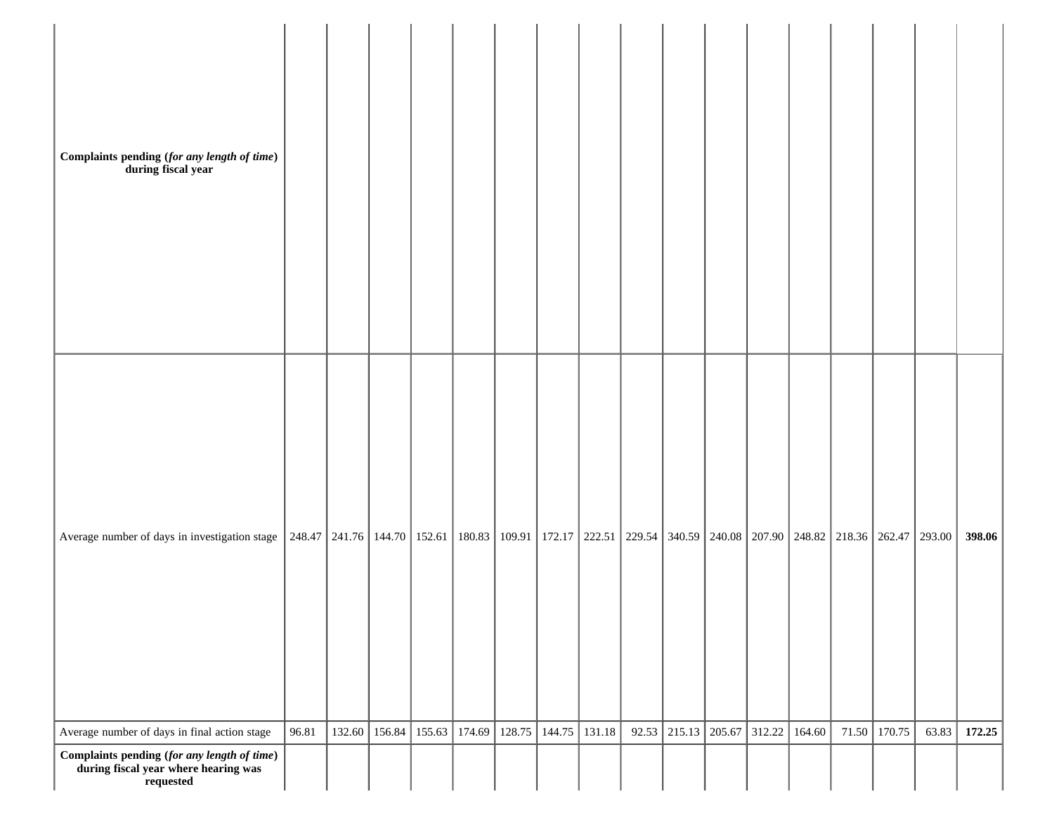| Complaints pending (for any length of time)<br>during fiscal year                                                                                                                             |       |        |        |        |        |        |        |        |                |        |        |        |       |        |       |        |
|-----------------------------------------------------------------------------------------------------------------------------------------------------------------------------------------------|-------|--------|--------|--------|--------|--------|--------|--------|----------------|--------|--------|--------|-------|--------|-------|--------|
| Average number of days in investigation stage   248.47   241.76   144.70   152.61   180.83   109.91   172.17   222.51   229.54   340.59   240.08   207.90   248.82   218.36   262.47   293.00 |       |        |        |        |        |        |        |        |                |        |        |        |       |        |       | 398.06 |
| Average number of days in final action stage                                                                                                                                                  | 96.81 | 132.60 | 156.84 | 155.63 | 174.69 | 128.75 | 144.75 | 131.18 | $92.53$ 215.13 | 205.67 | 312.22 | 164.60 | 71.50 | 170.75 | 63.83 | 172.25 |
| $Complaints pending (for any length of time) \label{eq:complaints} \begin{minipage}{0.9\linewidth} \textbf{during fiscal year where hearing was} \end{minipage}$<br>requested                 |       |        |        |        |        |        |        |        |                |        |        |        |       |        |       |        |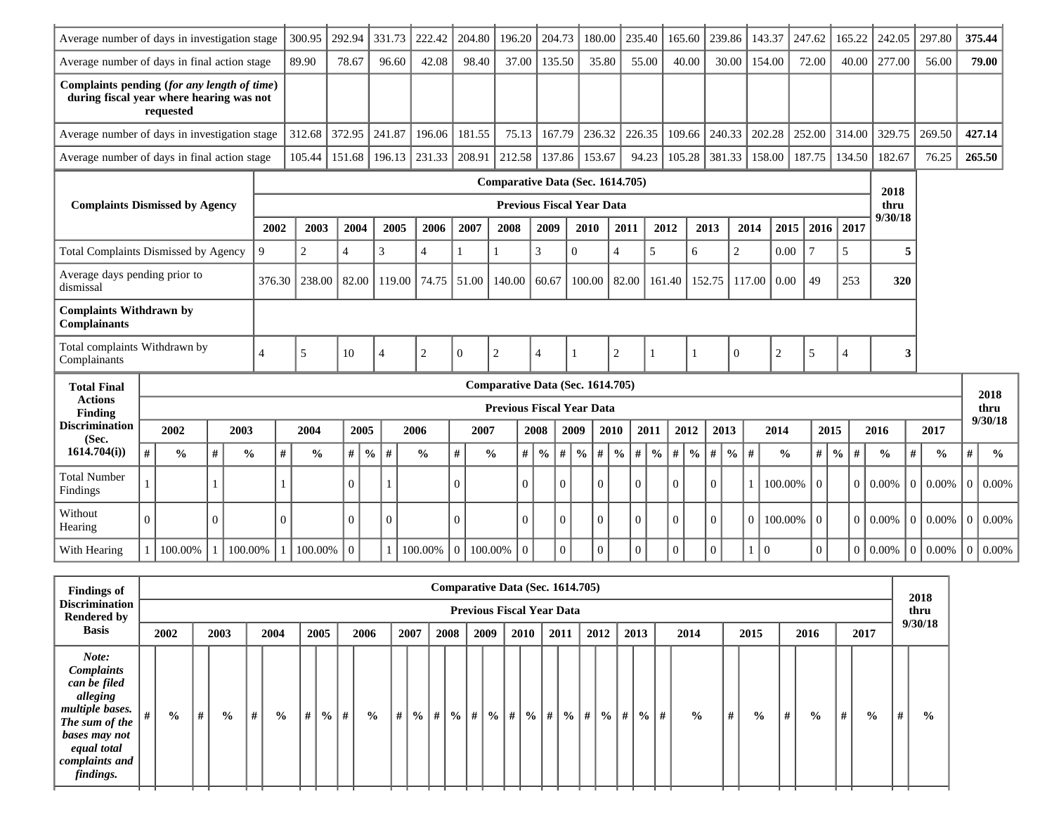| Average number of days in investigation stage                                           |          |               |          |                |          | 300.95         | 292.94   |                | 331.73   | 222.42         | 204.80   |                                  | 196.20   | 204.73                           |                    | 180.00   |                    | 235.40        | 165.60   |               | 239.86                |              | 143.37         | 247.62         |                | 165.22          | 242.05        | 297.80      |               | 375.44         |               |
|-----------------------------------------------------------------------------------------|----------|---------------|----------|----------------|----------|----------------|----------|----------------|----------|----------------|----------|----------------------------------|----------|----------------------------------|--------------------|----------|--------------------|---------------|----------|---------------|-----------------------|--------------|----------------|----------------|----------------|-----------------|---------------|-------------|---------------|----------------|---------------|
| Average number of days in final action stage                                            |          |               |          |                |          | 89.90          | 78.67    |                | 96.60    | 42.08          |          | 98.40                            | 37.00    | 135.50                           |                    | 35.80    |                    | 55.00         |          | 40.00         | 30.00                 |              | 154.00         | 72.00          |                | 40.00           | 277.00        |             | 56.00         |                | 79.00         |
| Complaints pending (for any length of time)<br>during fiscal year where hearing was not |          | requested     |          |                |          |                |          |                |          |                |          |                                  |          |                                  |                    |          |                    |               |          |               |                       |              |                |                |                |                 |               |             |               |                |               |
| Average number of days in investigation stage                                           |          |               |          |                |          | 312.68         | 372.95   |                | 241.87   | 196.06         | 181.55   |                                  | 75.13    | 167.79                           |                    | 236.32   |                    | 226.35        | 109.66   |               | 240.33                |              | 202.28         | 252.00         |                | 314.00          | 329.75        | 269.50      |               |                | 427.14        |
| Average number of days in final action stage                                            |          |               |          |                |          | 105.44         | 151.68   |                | 196.13   | 231.33         | 208.91   |                                  | 212.58   | 137.86                           |                    | 153.67   |                    | 94.23         |          | 105.28        | 381.33                |              | 158.00         | 187.75         |                | 134.50          | 182.67        |             | 76.25         |                | 265.50        |
|                                                                                         |          |               |          |                |          |                |          |                |          |                |          | Comparative Data (Sec. 1614.705) |          |                                  |                    |          |                    |               |          |               |                       |              |                |                |                |                 | 2018          |             |               |                |               |
| <b>Complaints Dismissed by Agency</b>                                                   |          |               |          |                |          |                |          |                |          |                |          |                                  |          | <b>Previous Fiscal Year Data</b> |                    |          |                    |               |          |               |                       |              |                |                |                |                 | thru          |             |               |                |               |
|                                                                                         |          |               |          |                | 2002     | 2003           | 2004     |                | 2005     | 2006           | 2007     | 2008                             |          | 2009                             | 2010               |          | 2011               |               | 2012     | 2013          |                       | 2014         | 2015           | 2016           |                | 2017            | 9/30/18       |             |               |                |               |
| <b>Total Complaints Dismissed by Agency</b>                                             |          |               |          | 9              |          | $\overline{2}$ | 4        | 3              |          | $\overline{4}$ |          |                                  |          | 3                                | $\theta$           |          | 4                  | 5             |          | 6             | $\overline{c}$        |              | 0.00           | $\overline{7}$ | 5              |                 |               | 5           |               |                |               |
| Average days pending prior to<br>dismissal                                              |          |               |          |                | 376.30   | 238.00         | 82.00    |                | 119.00   | 74.75          | 51.00    | 140.00                           |          | 60.67                            | 100.00             |          | 82.00              |               | 161.40   | 152.75        |                       | 117.00       | 0.00           | 49             |                | 253             | 320           |             |               |                |               |
| <b>Complaints Withdrawn by</b><br><b>Complainants</b>                                   |          |               |          |                |          |                |          |                |          |                |          |                                  |          |                                  |                    |          |                    |               |          |               |                       |              |                |                |                |                 |               |             |               |                |               |
| Total complaints Withdrawn by<br>Complainants                                           |          |               |          | $\overline{4}$ |          | 5              | 10       | $\overline{4}$ |          | $\mathfrak{2}$ | $\Omega$ | $\mathbf{2}$                     |          | $\overline{4}$                   |                    |          | $\overline{2}$     |               |          |               | $\Omega$              |              | $\overline{2}$ | 5              | $\overline{4}$ |                 |               | 3           |               |                |               |
| <b>Total Final</b>                                                                      |          |               |          |                |          |                |          |                |          |                |          | Comparative Data (Sec. 1614.705) |          |                                  |                    |          |                    |               |          |               |                       |              |                |                |                |                 |               |             |               |                | 2018          |
| <b>Actions</b><br><b>Finding</b>                                                        |          |               |          |                |          |                |          |                |          |                |          | <b>Previous Fiscal Year Data</b> |          |                                  |                    |          |                    |               |          |               |                       |              |                |                |                |                 |               |             |               |                | thru          |
| <b>Discrimination</b><br>(Sec.                                                          |          | 2002          |          | 2003           |          | 2004           |          | 2005           |          | 2006           |          | 2007                             |          | 2008                             | 2009               |          | 2010               | 2011          |          | 2012          | 2013                  |              | 2014           |                | 2015           |                 | 2016          | 2017        |               |                | 9/30/18       |
| 1614.704(i)                                                                             | #        | $\frac{0}{0}$ | #        | $\frac{0}{0}$  | #        | $\frac{0}{0}$  | #        | $\frac{6}{6}$  | $\#$     | $\frac{0}{0}$  | $\#$     | $\frac{0}{0}$                    | #        | $\frac{0}{0}$                    | #<br>$\frac{6}{6}$ | $\#$     | $\frac{0}{0}$<br># | $\frac{0}{0}$ | $\#$     | $\frac{0}{0}$ | $\#$<br>$\frac{0}{0}$ | #            | $\frac{0}{0}$  | #              | $\frac{0}{0}$  | #               | $\frac{0}{0}$ | #           | $\frac{0}{0}$ | #              | $\frac{0}{0}$ |
| <b>Total Number</b><br>Findings                                                         |          |               |          |                |          |                | $\Omega$ |                |          |                | $\Omega$ |                                  | 0        |                                  | $\Omega$           | $\Omega$ | $\Omega$           |               | $\Omega$ |               | $\Omega$              |              | 100.00%        | $\overline{0}$ |                | $\Omega$        | 0.00%         | $0.00\%$    |               | $\Omega$       | 0.00%         |
| Without<br>Hearing                                                                      | $\Omega$ |               | $\Omega$ |                | $\Omega$ |                | $\Omega$ |                | $\Omega$ |                | $\Omega$ |                                  | $\Omega$ |                                  | $\theta$           | $\Omega$ | $\Omega$           |               | $\Omega$ |               | $\theta$              | $\Omega$     | 100.00%        | $\overline{0}$ |                | $\vert 0 \vert$ | $0.00\%$      | $0.00\%$    |               | $\Omega$       | 0.00%         |
| With Hearing                                                                            |          | 100.00%       |          | 100.00%        |          | 100.00%        | $\Omega$ |                |          | 100.00%        | $\theta$ | 100.00%                          | $\theta$ |                                  | $\theta$           | $\Omega$ | $\Omega$           |               | $\Omega$ |               | $\Omega$              | $\mathbf{1}$ | $\overline{0}$ | $\overline{0}$ |                |                 | $0   0.00\%$  | $ 0 0.00\%$ |               | $\overline{0}$ | 0.00%         |

| <b>Findings of</b>                                                                                                                                         |               |   |               |   |               |   |      |                    |                |   |      | Comparative Data (Sec. 1614.705) |   |                                  |                                                               |      |  |               |               |               |   |               |   |               |   |               |   |               |   | 2018          |
|------------------------------------------------------------------------------------------------------------------------------------------------------------|---------------|---|---------------|---|---------------|---|------|--------------------|----------------|---|------|----------------------------------|---|----------------------------------|---------------------------------------------------------------|------|--|---------------|---------------|---------------|---|---------------|---|---------------|---|---------------|---|---------------|---|---------------|
| <b>Discrimination</b><br><b>Rendered by</b>                                                                                                                |               |   |               |   |               |   |      |                    |                |   |      |                                  |   | <b>Previous Fiscal Year Data</b> |                                                               |      |  |               |               |               |   |               |   |               |   |               |   |               |   | thru          |
| <b>Basis</b>                                                                                                                                               | 2002          |   | 2003          |   | 2004          |   | 2005 |                    | 2006           |   | 2007 | 2008                             |   | 2009                             | 2010                                                          | 2011 |  | 2012          |               | 2013          |   | 2014          |   | 2015          |   | 2016          |   | 2017          |   | 9/30/18       |
| Note:<br><b>Complaints</b><br>can be filed<br>alleging<br>multiple bases.<br>The sum of the<br>bases may not<br>equal total<br>complaints and<br>findings. | $\frac{0}{0}$ | # | $\frac{0}{0}$ | # | $\frac{0}{0}$ | # |      | $\frac{6}{10}$   # | $\frac{6}{10}$ | # | $\%$ | $  # $ %                         | # |                                  | $\frac{9}{6}$ # $\frac{9}{6}$ # $\frac{9}{6}$ # $\frac{1}{4}$ |      |  | $\frac{0}{0}$ | $\parallel$ # | $\frac{0}{0}$ | # | $\frac{0}{0}$ | # | $\frac{0}{0}$ | # | $\frac{0}{0}$ | # | $\frac{0}{0}$ | # | $\frac{6}{9}$ |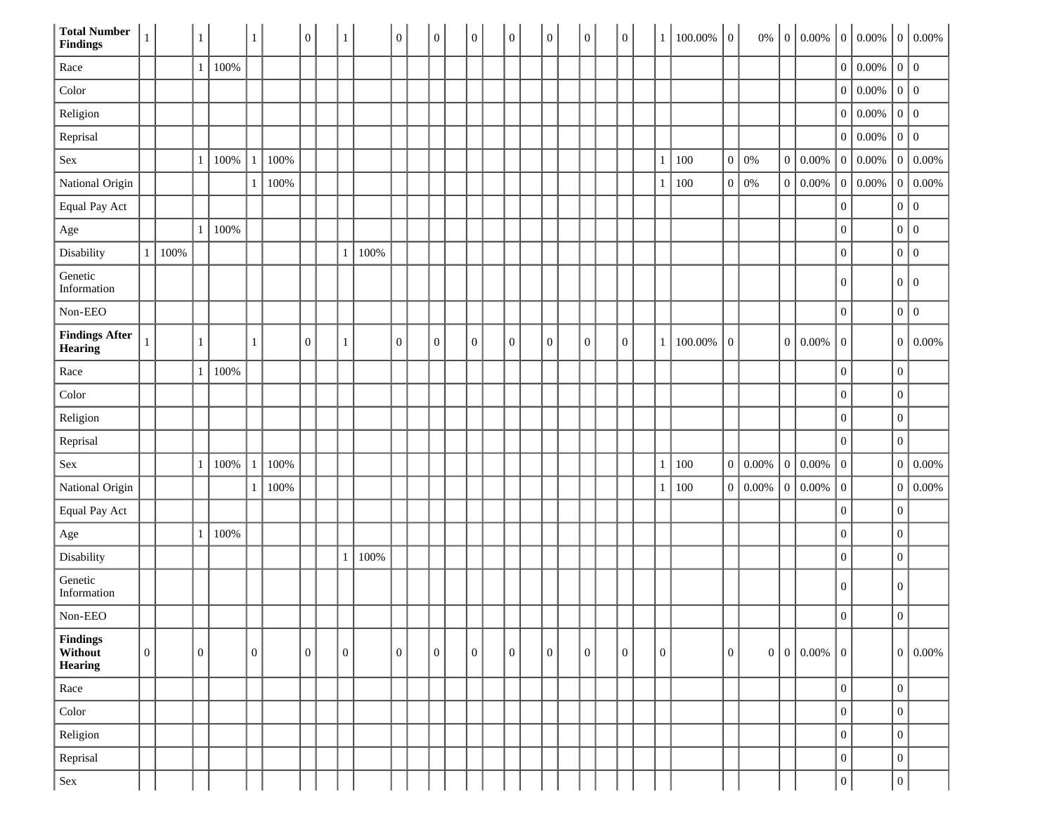| <b>Total Number</b><br><b>Findings</b>  | $\,1\,$          |      | $\mathbf{1}$     |      | 1                |      | $\boldsymbol{0}$ | $\mathbf{1}$     |      | $\overline{0}$   | $\overline{0}$ | $\mathbf{0}$     | $\boldsymbol{0}$ | $\overline{0}$ | $\boldsymbol{0}$ |  | $\overline{0}$   | $\mathbf{1}$   | $100.00\%$ 0 |                  | $0\%$ |                  | $\begin{bmatrix} 0 & 0.00\% & 0 & 0.00\% \end{bmatrix}$ |                  |           |                  | $0   0.00\%$ |
|-----------------------------------------|------------------|------|------------------|------|------------------|------|------------------|------------------|------|------------------|----------------|------------------|------------------|----------------|------------------|--|------------------|----------------|--------------|------------------|-------|------------------|---------------------------------------------------------|------------------|-----------|------------------|--------------|
| Race                                    |                  |      | $\mathbf{1}$     | 100% |                  |      |                  |                  |      |                  |                |                  |                  |                |                  |  |                  |                |              |                  |       |                  |                                                         | $\mathbf{0}$     | $ 0.00\%$ | 0 0              |              |
| Color                                   |                  |      |                  |      |                  |      |                  |                  |      |                  |                |                  |                  |                |                  |  |                  |                |              |                  |       |                  |                                                         | $\boldsymbol{0}$ | $0.00\%$  | 0 0              |              |
| Religion                                |                  |      |                  |      |                  |      |                  |                  |      |                  |                |                  |                  |                |                  |  |                  |                |              |                  |       |                  |                                                         | $\mathbf{0}$     | 0.00%     | 0 0              |              |
| Reprisal                                |                  |      |                  |      |                  |      |                  |                  |      |                  |                |                  |                  |                |                  |  |                  |                |              |                  |       |                  |                                                         | $\overline{0}$   | 0.00%     | 0 0              |              |
| Sex                                     |                  |      | 1                | 100% |                  | 100% |                  |                  |      |                  |                |                  |                  |                |                  |  |                  | 1              | 100          | $\boldsymbol{0}$ | $0\%$ | $\boldsymbol{0}$ | $0.00\%$                                                | $\overline{0}$   | 0.00%     | $\mathbf{0}$     | $0.00\%$     |
| National Origin                         |                  |      |                  |      |                  | 100% |                  |                  |      |                  |                |                  |                  |                |                  |  |                  | 1              | 100          | $\boldsymbol{0}$ | 0%    | 0                | 0.00%                                                   | $\overline{0}$   | $0.00\%$  | $\mathbf{0}$     | $0.00\%$     |
| Equal Pay Act                           |                  |      |                  |      |                  |      |                  |                  |      |                  |                |                  |                  |                |                  |  |                  |                |              |                  |       |                  |                                                         | $\boldsymbol{0}$ |           | 0 0              |              |
| $_{\rm Age}$                            |                  |      | $\mathbf{1}$     | 100% |                  |      |                  |                  |      |                  |                |                  |                  |                |                  |  |                  |                |              |                  |       |                  |                                                         | $\boldsymbol{0}$ |           | 0 0              |              |
| Disability                              | $\mathbf{1}$     | 100% |                  |      |                  |      |                  | $\mathbf{1}$     | 100% |                  |                |                  |                  |                |                  |  |                  |                |              |                  |       |                  |                                                         | $\boldsymbol{0}$ |           | 0 0              |              |
| Genetic<br>Information                  |                  |      |                  |      |                  |      |                  |                  |      |                  |                |                  |                  |                |                  |  |                  |                |              |                  |       |                  |                                                         | $\mathbf{0}$     |           | 0 0              |              |
| Non-EEO                                 |                  |      |                  |      |                  |      |                  |                  |      |                  |                |                  |                  |                |                  |  |                  |                |              |                  |       |                  |                                                         | $\boldsymbol{0}$ |           | 0 0              |              |
| <b>Findings After</b><br><b>Hearing</b> | $\mathbf{1}$     |      | $\mathbf{1}$     |      | 1                |      | $\boldsymbol{0}$ | $\mathbf{1}$     |      | $\overline{0}$   | $\overline{0}$ | $\boldsymbol{0}$ | $\overline{0}$   | $\overline{0}$ | $\overline{0}$   |  | $\boldsymbol{0}$ | $\mathbf{1}$   | 100.00%      | $\mathbf{0}$     |       | 0                | $0.00\%$                                                | $\mathbf{0}$     |           | 0                | $ 0.00\%$    |
| Race                                    |                  |      | $\mathbf{1}$     | 100% |                  |      |                  |                  |      |                  |                |                  |                  |                |                  |  |                  |                |              |                  |       |                  |                                                         | $\boldsymbol{0}$ |           | $\boldsymbol{0}$ |              |
| Color                                   |                  |      |                  |      |                  |      |                  |                  |      |                  |                |                  |                  |                |                  |  |                  |                |              |                  |       |                  |                                                         | $\boldsymbol{0}$ |           | $\boldsymbol{0}$ |              |
| Religion                                |                  |      |                  |      |                  |      |                  |                  |      |                  |                |                  |                  |                |                  |  |                  |                |              |                  |       |                  |                                                         | $\boldsymbol{0}$ |           | $\boldsymbol{0}$ |              |
| Reprisal                                |                  |      |                  |      |                  |      |                  |                  |      |                  |                |                  |                  |                |                  |  |                  |                |              |                  |       |                  |                                                         | $\boldsymbol{0}$ |           | $\boldsymbol{0}$ |              |
| Sex                                     |                  |      | 1                | 100% |                  | 100% |                  |                  |      |                  |                |                  |                  |                |                  |  |                  | 1              | 100          | $\boldsymbol{0}$ | 0.00% | $\overline{0}$   | $0.00\%$                                                | $\boldsymbol{0}$ |           | $\boldsymbol{0}$ | $0.00\%$     |
| National Origin                         |                  |      |                  |      |                  | 100% |                  |                  |      |                  |                |                  |                  |                |                  |  |                  | 1              | 100          | $\boldsymbol{0}$ | 0.00% | $\mathbf{0}$     | 0.00%                                                   | $\boldsymbol{0}$ |           | $\boldsymbol{0}$ | $0.00\%$     |
| Equal Pay Act                           |                  |      |                  |      |                  |      |                  |                  |      |                  |                |                  |                  |                |                  |  |                  |                |              |                  |       |                  |                                                         | $\boldsymbol{0}$ |           | $\boldsymbol{0}$ |              |
| $_{\rm Age}$                            |                  |      | 1                | 100% |                  |      |                  |                  |      |                  |                |                  |                  |                |                  |  |                  |                |              |                  |       |                  |                                                         | $\boldsymbol{0}$ |           | $\boldsymbol{0}$ |              |
| Disability                              |                  |      |                  |      |                  |      |                  | $\mathbf{1}$     | 100% |                  |                |                  |                  |                |                  |  |                  |                |              |                  |       |                  |                                                         | $\boldsymbol{0}$ |           | $\boldsymbol{0}$ |              |
| Genetic<br>Information                  |                  |      |                  |      |                  |      |                  |                  |      |                  |                |                  |                  |                |                  |  |                  |                |              |                  |       |                  |                                                         | $\boldsymbol{0}$ |           | $\mathbf{0}$     |              |
| Non-EEO                                 |                  |      |                  |      |                  |      |                  |                  |      |                  |                |                  |                  |                |                  |  |                  |                |              |                  |       |                  |                                                         | $\mathbf{0}$     |           | $\overline{0}$   |              |
| <b>Findings</b><br>Without<br>Hearing   | $\boldsymbol{0}$ |      | $\boldsymbol{0}$ |      | $\boldsymbol{0}$ |      | $\boldsymbol{0}$ | $\boldsymbol{0}$ |      | $\boldsymbol{0}$ | $\overline{0}$ | $\boldsymbol{0}$ | $\mathbf{0}$     | $\overline{0}$ | $\boldsymbol{0}$ |  | $\boldsymbol{0}$ | $\overline{0}$ |              | $\boldsymbol{0}$ |       |                  | $0   0   0.00\%$                                        | $\boldsymbol{0}$ |           | 0                | 0.00%        |
| $\rm Race$                              |                  |      |                  |      |                  |      |                  |                  |      |                  |                |                  |                  |                |                  |  |                  |                |              |                  |       |                  |                                                         | $\boldsymbol{0}$ |           | $\boldsymbol{0}$ |              |
| $_{\rm Color}$                          |                  |      |                  |      |                  |      |                  |                  |      |                  |                |                  |                  |                |                  |  |                  |                |              |                  |       |                  |                                                         | $\boldsymbol{0}$ |           | $\boldsymbol{0}$ |              |
| Religion                                |                  |      |                  |      |                  |      |                  |                  |      |                  |                |                  |                  |                |                  |  |                  |                |              |                  |       |                  |                                                         | $\boldsymbol{0}$ |           | $\boldsymbol{0}$ |              |
| Reprisal                                |                  |      |                  |      |                  |      |                  |                  |      |                  |                |                  |                  |                |                  |  |                  |                |              |                  |       |                  |                                                         | $\boldsymbol{0}$ |           | $\boldsymbol{0}$ |              |
| Sex                                     |                  |      |                  |      |                  |      |                  |                  |      |                  |                |                  |                  |                |                  |  |                  |                |              |                  |       |                  |                                                         | $\boldsymbol{0}$ |           | $\boldsymbol{0}$ |              |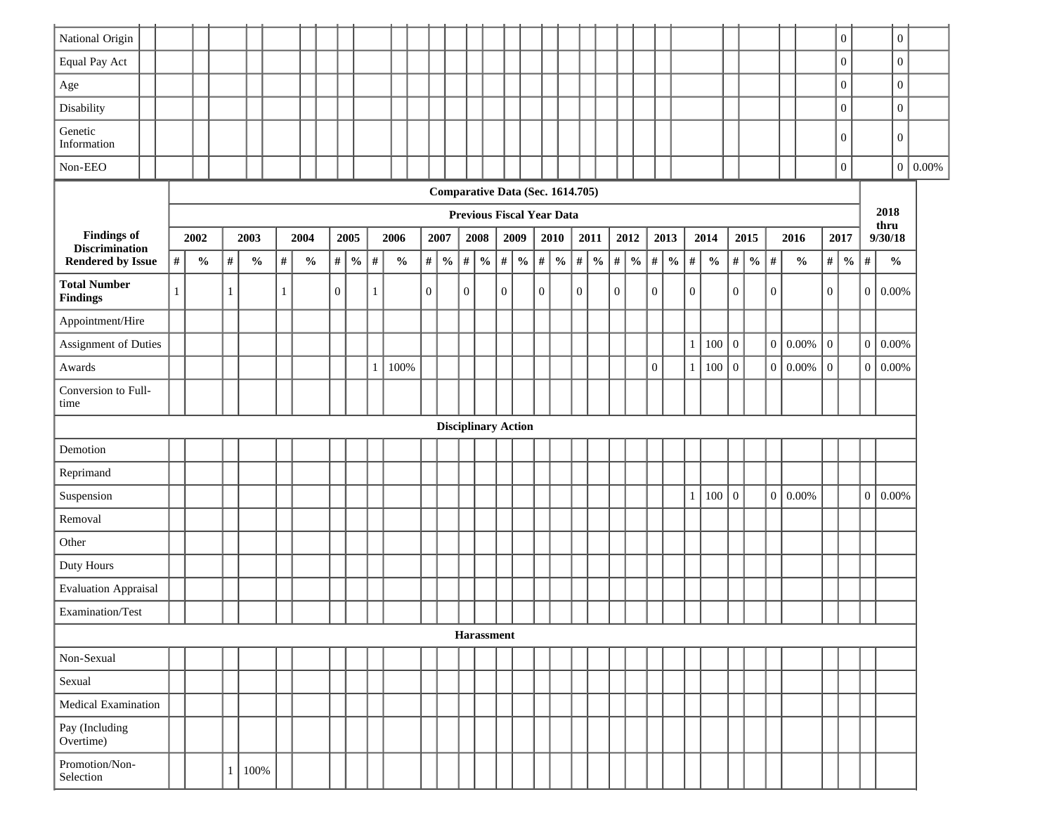| National Origin                             |              |               |      |                                    |      |      |               |                |               |      |                                    |              |               |                  |      |               |                |                            |              |                                  |                  |               |              |               |                  |               |                |               |                  |                                    |                |      |               |                  | $\boldsymbol{0}$ |                 | $\boldsymbol{0}$ |           |
|---------------------------------------------|--------------|---------------|------|------------------------------------|------|------|---------------|----------------|---------------|------|------------------------------------|--------------|---------------|------------------|------|---------------|----------------|----------------------------|--------------|----------------------------------|------------------|---------------|--------------|---------------|------------------|---------------|----------------|---------------|------------------|------------------------------------|----------------|------|---------------|------------------|------------------|-----------------|------------------|-----------|
| Equal Pay Act                               |              |               |      |                                    |      |      |               |                |               |      |                                    |              |               |                  |      |               |                |                            |              |                                  |                  |               |              |               |                  |               |                |               |                  |                                    |                |      |               |                  | $\mathbf{0}$     |                 | $\boldsymbol{0}$ |           |
| $\rm Age$                                   |              |               |      |                                    |      |      |               |                |               |      |                                    |              |               |                  |      |               |                |                            |              |                                  |                  |               |              |               |                  |               |                |               |                  |                                    |                |      |               |                  | $\boldsymbol{0}$ |                 | $\boldsymbol{0}$ |           |
| Disability                                  |              |               |      |                                    |      |      |               |                |               |      |                                    |              |               |                  |      |               |                |                            |              |                                  |                  |               |              |               |                  |               |                |               |                  |                                    |                |      |               |                  | $\mathbf{0}$     |                 | $\boldsymbol{0}$ |           |
| Genetic<br>Information                      |              |               |      |                                    |      |      |               |                |               |      |                                    |              |               |                  |      |               |                |                            |              |                                  |                  |               |              |               |                  |               |                |               |                  |                                    |                |      |               |                  | $\overline{0}$   |                 | $\overline{0}$   |           |
| Non-EEO                                     |              |               |      |                                    |      |      |               |                |               |      |                                    |              |               |                  |      |               |                |                            |              |                                  |                  |               |              |               |                  |               |                |               |                  |                                    |                |      |               |                  | $\boldsymbol{0}$ |                 | $\mathbf{0}$     | $ 0.00\%$ |
|                                             |              |               |      |                                    |      |      |               |                |               |      |                                    |              |               |                  |      |               |                |                            |              | Comparative Data (Sec. 1614.705) |                  |               |              |               |                  |               |                |               |                  |                                    |                |      |               |                  |                  |                 |                  |           |
|                                             |              |               |      |                                    |      |      |               |                |               |      |                                    |              |               |                  |      |               |                |                            |              | Previous Fiscal Year Data        |                  |               |              |               |                  |               |                |               |                  |                                    |                |      |               |                  |                  |                 | 2018<br>thru     |           |
| <b>Findings of</b><br><b>Discrimination</b> |              | 2002          |      | 2003                               |      | 2004 |               |                | 2005          |      | 2006                               |              | 2007          |                  | 2008 |               | 2009           |                            |              | 2010                             |                  | 2011          |              | 2012          |                  | 2013          |                | 2014          |                  | 2015                               |                | 2016 |               |                  | 2017             |                 | 9/30/18          |           |
| <b>Rendered by Issue</b>                    | $\#$         | $\frac{0}{0}$ | $\#$ | $\mathbf{0}_{\mathbf{0}}^{\prime}$ | $\#$ |      | $\frac{0}{0}$ | $\#$           | $\frac{0}{0}$ | $\#$ | $\mathbf{0}_{\mathbf{0}}^{\prime}$ | $\#$         | $\frac{0}{0}$ | $\#$             |      | $\frac{0}{0}$ | $\#$           | $\frac{0}{0}$              | $\#$         | $\frac{0}{0}$                    | $\#$             | $\frac{0}{0}$ | $\#$         | $\frac{0}{0}$ | $\#$             | $\frac{0}{6}$ | $\#$           | $\frac{0}{0}$ | $\#$             | $\mathbf{0}_{\mathbf{0}}^{\prime}$ | #              |      | $\frac{0}{0}$ | #                | $\frac{0}{0}$    | $\#$            | $\frac{0}{0}$    |           |
| <b>Total Number</b><br><b>Findings</b>      | $\mathbf{1}$ |               | 1    |                                    | 1    |      |               | $\overline{0}$ |               | 1    |                                    | $\mathbf{0}$ |               | $\boldsymbol{0}$ |      |               | $\overline{0}$ |                            | $\mathbf{0}$ |                                  | $\boldsymbol{0}$ |               | $\mathbf{0}$ |               | $\overline{0}$   |               | $\overline{0}$ |               | $\boldsymbol{0}$ |                                    | $\overline{0}$ |      |               | $\overline{0}$   |                  | $\vert 0 \vert$ | 0.00%            |           |
| Appointment/Hire                            |              |               |      |                                    |      |      |               |                |               |      |                                    |              |               |                  |      |               |                |                            |              |                                  |                  |               |              |               |                  |               |                |               |                  |                                    |                |      |               |                  |                  |                 |                  |           |
| Assignment of Duties                        |              |               |      |                                    |      |      |               |                |               |      |                                    |              |               |                  |      |               |                |                            |              |                                  |                  |               |              |               |                  |               | $\mathbf{1}$   | 100           | $\boldsymbol{0}$ |                                    | $\overline{0}$ |      | 0.00%         | $\boldsymbol{0}$ |                  | $\overline{0}$  | $0.00\%$         |           |
| Awards                                      |              |               |      |                                    |      |      |               |                |               |      | 100%                               |              |               |                  |      |               |                |                            |              |                                  |                  |               |              |               | $\boldsymbol{0}$ |               | $\mathbf{1}$   | 100           | $\boldsymbol{0}$ |                                    | $\overline{0}$ |      | 0.00%         | $\overline{0}$   |                  | $\vert 0 \vert$ | 0.00%            |           |
| Conversion to Full-<br>time                 |              |               |      |                                    |      |      |               |                |               |      |                                    |              |               |                  |      |               |                |                            |              |                                  |                  |               |              |               |                  |               |                |               |                  |                                    |                |      |               |                  |                  |                 |                  |           |
|                                             |              |               |      |                                    |      |      |               |                |               |      |                                    |              |               |                  |      |               |                | <b>Disciplinary Action</b> |              |                                  |                  |               |              |               |                  |               |                |               |                  |                                    |                |      |               |                  |                  |                 |                  |           |
| Demotion                                    |              |               |      |                                    |      |      |               |                |               |      |                                    |              |               |                  |      |               |                |                            |              |                                  |                  |               |              |               |                  |               |                |               |                  |                                    |                |      |               |                  |                  |                 |                  |           |
| Reprimand                                   |              |               |      |                                    |      |      |               |                |               |      |                                    |              |               |                  |      |               |                |                            |              |                                  |                  |               |              |               |                  |               |                |               |                  |                                    |                |      |               |                  |                  |                 |                  |           |
| Suspension                                  |              |               |      |                                    |      |      |               |                |               |      |                                    |              |               |                  |      |               |                |                            |              |                                  |                  |               |              |               |                  |               | $\mathbf{1}$   | 100           | $\boldsymbol{0}$ |                                    | $\overline{0}$ |      | 0.00%         |                  |                  | $\vert 0 \vert$ | 0.00%            |           |
| Removal                                     |              |               |      |                                    |      |      |               |                |               |      |                                    |              |               |                  |      |               |                |                            |              |                                  |                  |               |              |               |                  |               |                |               |                  |                                    |                |      |               |                  |                  |                 |                  |           |
| Other                                       |              |               |      |                                    |      |      |               |                |               |      |                                    |              |               |                  |      |               |                |                            |              |                                  |                  |               |              |               |                  |               |                |               |                  |                                    |                |      |               |                  |                  |                 |                  |           |
| Duty Hours                                  |              |               |      |                                    |      |      |               |                |               |      |                                    |              |               |                  |      |               |                |                            |              |                                  |                  |               |              |               |                  |               |                |               |                  |                                    |                |      |               |                  |                  |                 |                  |           |
| <b>Evaluation Appraisal</b>                 |              |               |      |                                    |      |      |               |                |               |      |                                    |              |               |                  |      |               |                |                            |              |                                  |                  |               |              |               |                  |               |                |               |                  |                                    |                |      |               |                  |                  |                 |                  |           |
| Examination/Test                            |              |               |      |                                    |      |      |               |                |               |      |                                    |              |               |                  |      |               |                |                            |              |                                  |                  |               |              |               |                  |               |                |               |                  |                                    |                |      |               |                  |                  |                 |                  |           |
|                                             |              |               |      |                                    |      |      |               |                |               |      |                                    |              |               |                  |      | Harassment    |                |                            |              |                                  |                  |               |              |               |                  |               |                |               |                  |                                    |                |      |               |                  |                  |                 |                  |           |
| Non-Sexual                                  |              |               |      |                                    |      |      |               |                |               |      |                                    |              |               |                  |      |               |                |                            |              |                                  |                  |               |              |               |                  |               |                |               |                  |                                    |                |      |               |                  |                  |                 |                  |           |
| Sexual                                      |              |               |      |                                    |      |      |               |                |               |      |                                    |              |               |                  |      |               |                |                            |              |                                  |                  |               |              |               |                  |               |                |               |                  |                                    |                |      |               |                  |                  |                 |                  |           |
| Medical Examination                         |              |               |      |                                    |      |      |               |                |               |      |                                    |              |               |                  |      |               |                |                            |              |                                  |                  |               |              |               |                  |               |                |               |                  |                                    |                |      |               |                  |                  |                 |                  |           |
| Pay (Including<br>Overtime)                 |              |               |      |                                    |      |      |               |                |               |      |                                    |              |               |                  |      |               |                |                            |              |                                  |                  |               |              |               |                  |               |                |               |                  |                                    |                |      |               |                  |                  |                 |                  |           |
| Promotion/Non-<br>Selection                 |              |               | 1    | 100%                               |      |      |               |                |               |      |                                    |              |               |                  |      |               |                |                            |              |                                  |                  |               |              |               |                  |               |                |               |                  |                                    |                |      |               |                  |                  |                 |                  |           |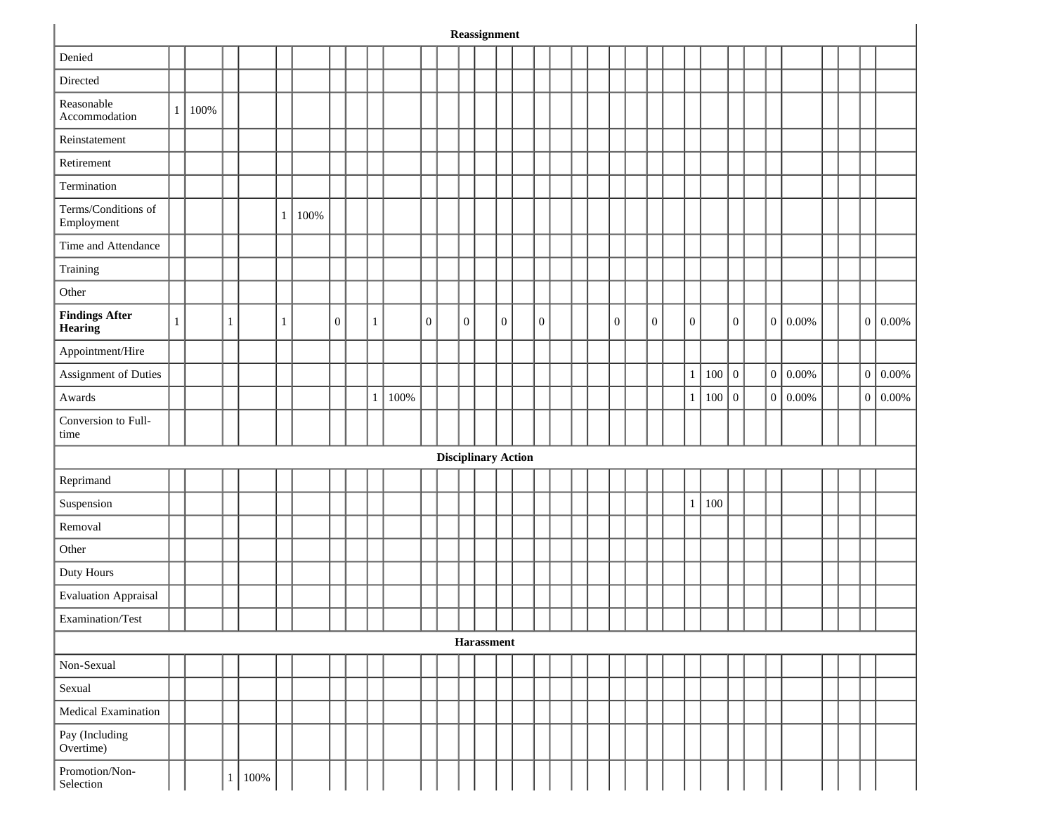|                                         |              |      |              |         |              |      |              |   |      |                  |                            |                  | Reassignment      |                  |                  |  |                  |                  |                |     |                  |   |              |  |                |          |
|-----------------------------------------|--------------|------|--------------|---------|--------------|------|--------------|---|------|------------------|----------------------------|------------------|-------------------|------------------|------------------|--|------------------|------------------|----------------|-----|------------------|---|--------------|--|----------------|----------|
| Denied                                  |              |      |              |         |              |      |              |   |      |                  |                            |                  |                   |                  |                  |  |                  |                  |                |     |                  |   |              |  |                |          |
| Directed                                |              |      |              |         |              |      |              |   |      |                  |                            |                  |                   |                  |                  |  |                  |                  |                |     |                  |   |              |  |                |          |
| Reasonable<br>Accommodation             | 1            | 100% |              |         |              |      |              |   |      |                  |                            |                  |                   |                  |                  |  |                  |                  |                |     |                  |   |              |  |                |          |
| Reinstatement                           |              |      |              |         |              |      |              |   |      |                  |                            |                  |                   |                  |                  |  |                  |                  |                |     |                  |   |              |  |                |          |
| Retirement                              |              |      |              |         |              |      |              |   |      |                  |                            |                  |                   |                  |                  |  |                  |                  |                |     |                  |   |              |  |                |          |
| Termination                             |              |      |              |         |              |      |              |   |      |                  |                            |                  |                   |                  |                  |  |                  |                  |                |     |                  |   |              |  |                |          |
| Terms/Conditions of<br>Employment       |              |      |              |         | $\mathbf{1}$ | 100% |              |   |      |                  |                            |                  |                   |                  |                  |  |                  |                  |                |     |                  |   |              |  |                |          |
| Time and Attendance                     |              |      |              |         |              |      |              |   |      |                  |                            |                  |                   |                  |                  |  |                  |                  |                |     |                  |   |              |  |                |          |
| Training                                |              |      |              |         |              |      |              |   |      |                  |                            |                  |                   |                  |                  |  |                  |                  |                |     |                  |   |              |  |                |          |
| Other                                   |              |      |              |         |              |      |              |   |      |                  |                            |                  |                   |                  |                  |  |                  |                  |                |     |                  |   |              |  |                |          |
| <b>Findings After</b><br><b>Hearing</b> | $\mathbf{1}$ |      | $\mathbf{1}$ |         | $\mathbf{1}$ |      | $\mathbf{0}$ | 1 |      | $\boldsymbol{0}$ |                            | $\boldsymbol{0}$ |                   | $\boldsymbol{0}$ | $\boldsymbol{0}$ |  | $\boldsymbol{0}$ | $\boldsymbol{0}$ | $\overline{0}$ |     | $\boldsymbol{0}$ | 0 | 0.00%        |  | $\overline{0}$ | $0.00\%$ |
| Appointment/Hire                        |              |      |              |         |              |      |              |   |      |                  |                            |                  |                   |                  |                  |  |                  |                  |                |     |                  |   |              |  |                |          |
| Assignment of Duties                    |              |      |              |         |              |      |              |   |      |                  |                            |                  |                   |                  |                  |  |                  |                  | $\mathbf{1}$   | 100 | $\boldsymbol{0}$ | 0 | 0.00%        |  | $0\,$          | $0.00\%$ |
| Awards                                  |              |      |              |         |              |      |              | 1 | 100% |                  |                            |                  |                   |                  |                  |  |                  |                  | $\mathbf{1}$   | 100 | $\boldsymbol{0}$ |   | $0   0.00\%$ |  | $\overline{0}$ | 0.00%    |
| Conversion to Full-<br>time             |              |      |              |         |              |      |              |   |      |                  |                            |                  |                   |                  |                  |  |                  |                  |                |     |                  |   |              |  |                |          |
|                                         |              |      |              |         |              |      |              |   |      |                  | <b>Disciplinary Action</b> |                  |                   |                  |                  |  |                  |                  |                |     |                  |   |              |  |                |          |
| Reprimand                               |              |      |              |         |              |      |              |   |      |                  |                            |                  |                   |                  |                  |  |                  |                  |                |     |                  |   |              |  |                |          |
| Suspension                              |              |      |              |         |              |      |              |   |      |                  |                            |                  |                   |                  |                  |  |                  |                  | $\mathbf{1}$   | 100 |                  |   |              |  |                |          |
| Removal                                 |              |      |              |         |              |      |              |   |      |                  |                            |                  |                   |                  |                  |  |                  |                  |                |     |                  |   |              |  |                |          |
| Other                                   |              |      |              |         |              |      |              |   |      |                  |                            |                  |                   |                  |                  |  |                  |                  |                |     |                  |   |              |  |                |          |
| Duty Hours                              |              |      |              |         |              |      |              |   |      |                  |                            |                  |                   |                  |                  |  |                  |                  |                |     |                  |   |              |  |                |          |
| <b>Evaluation Appraisal</b>             |              |      |              |         |              |      |              |   |      |                  |                            |                  |                   |                  |                  |  |                  |                  |                |     |                  |   |              |  |                |          |
| Examination/Test                        |              |      |              |         |              |      |              |   |      |                  |                            |                  |                   |                  |                  |  |                  |                  |                |     |                  |   |              |  |                |          |
|                                         |              |      |              |         |              |      |              |   |      |                  |                            |                  | <b>Harassment</b> |                  |                  |  |                  |                  |                |     |                  |   |              |  |                |          |
| Non-Sexual                              |              |      |              |         |              |      |              |   |      |                  |                            |                  |                   |                  |                  |  |                  |                  |                |     |                  |   |              |  |                |          |
| Sexual                                  |              |      |              |         |              |      |              |   |      |                  |                            |                  |                   |                  |                  |  |                  |                  |                |     |                  |   |              |  |                |          |
| Medical Examination                     |              |      |              |         |              |      |              |   |      |                  |                            |                  |                   |                  |                  |  |                  |                  |                |     |                  |   |              |  |                |          |
| Pay (Including<br>Overtime)             |              |      |              |         |              |      |              |   |      |                  |                            |                  |                   |                  |                  |  |                  |                  |                |     |                  |   |              |  |                |          |
| Promotion/Non-<br>Selection             |              |      | 1            | $100\%$ |              |      |              |   |      |                  |                            |                  |                   |                  |                  |  |                  |                  |                |     |                  |   |              |  |                |          |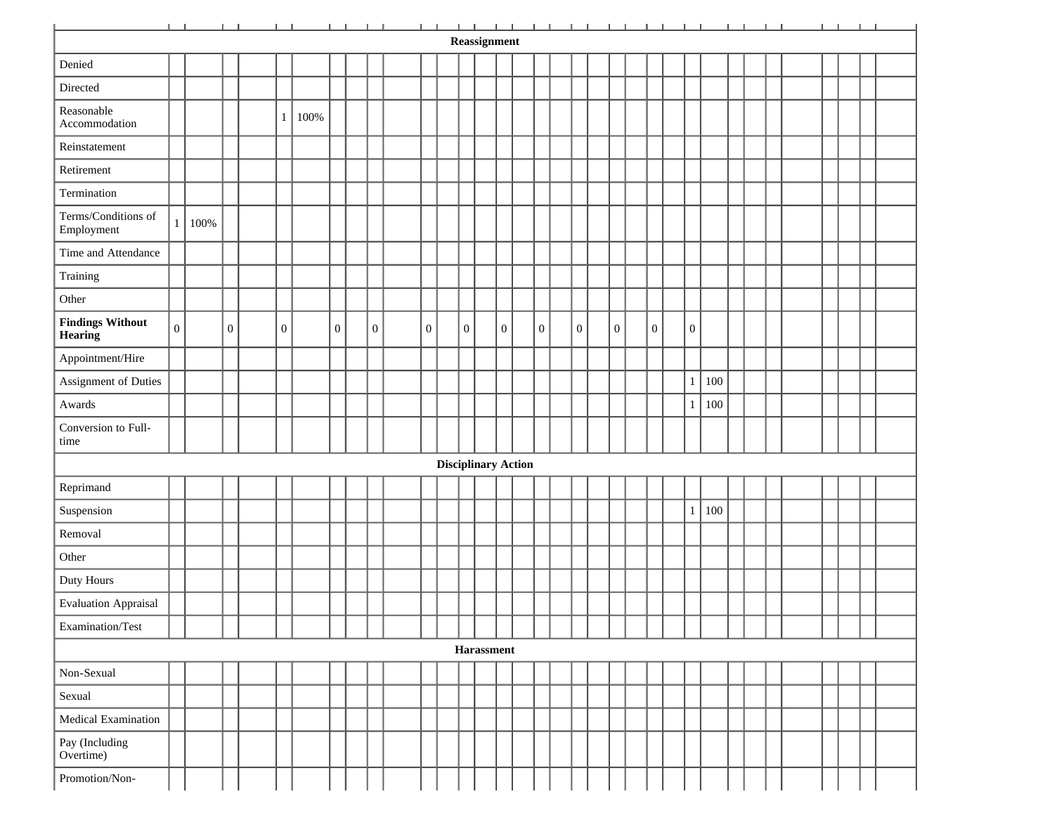|                                           | $1 - 1 -$      |      |                |                | <b>The Common Common Property Property Property</b> |              |              | $\frac{1}{2}$ and $\frac{1}{2}$ |                  |                            |                  | Reassignment      |              |              |              |                  |              |                  |     |  | <b>Contract Contract Contract</b> |  |  |
|-------------------------------------------|----------------|------|----------------|----------------|-----------------------------------------------------|--------------|--------------|---------------------------------|------------------|----------------------------|------------------|-------------------|--------------|--------------|--------------|------------------|--------------|------------------|-----|--|-----------------------------------|--|--|
|                                           |                |      |                |                |                                                     |              |              |                                 |                  |                            |                  |                   |              |              |              |                  |              |                  |     |  |                                   |  |  |
| Denied                                    |                |      |                |                |                                                     |              |              |                                 |                  |                            |                  |                   |              |              |              |                  |              |                  |     |  |                                   |  |  |
| Directed                                  |                |      |                |                |                                                     |              |              |                                 |                  |                            |                  |                   |              |              |              |                  |              |                  |     |  |                                   |  |  |
| Reasonable<br>Accommodation               |                |      |                | 1              | 100%                                                |              |              |                                 |                  |                            |                  |                   |              |              |              |                  |              |                  |     |  |                                   |  |  |
| Reinstatement                             |                |      |                |                |                                                     |              |              |                                 |                  |                            |                  |                   |              |              |              |                  |              |                  |     |  |                                   |  |  |
| Retirement                                |                |      |                |                |                                                     |              |              |                                 |                  |                            |                  |                   |              |              |              |                  |              |                  |     |  |                                   |  |  |
| Termination                               |                |      |                |                |                                                     |              |              |                                 |                  |                            |                  |                   |              |              |              |                  |              |                  |     |  |                                   |  |  |
| Terms/Conditions of<br>Employment         | $\mathbf{1}$   | 100% |                |                |                                                     |              |              |                                 |                  |                            |                  |                   |              |              |              |                  |              |                  |     |  |                                   |  |  |
| Time and Attendance                       |                |      |                |                |                                                     |              |              |                                 |                  |                            |                  |                   |              |              |              |                  |              |                  |     |  |                                   |  |  |
| Training                                  |                |      |                |                |                                                     |              |              |                                 |                  |                            |                  |                   |              |              |              |                  |              |                  |     |  |                                   |  |  |
| Other                                     |                |      |                |                |                                                     |              |              |                                 |                  |                            |                  |                   |              |              |              |                  |              |                  |     |  |                                   |  |  |
| <b>Findings Without</b><br><b>Hearing</b> | $\overline{0}$ |      | $\overline{0}$ | $\overline{0}$ |                                                     | $\mathbf{0}$ | $\mathbf{0}$ |                                 | $\boldsymbol{0}$ |                            | $\boldsymbol{0}$ |                   | $\mathbf{0}$ | $\mathbf{0}$ | $\mathbf{0}$ | $\boldsymbol{0}$ | $\mathbf{0}$ | $\boldsymbol{0}$ |     |  |                                   |  |  |
| Appointment/Hire                          |                |      |                |                |                                                     |              |              |                                 |                  |                            |                  |                   |              |              |              |                  |              |                  |     |  |                                   |  |  |
| Assignment of Duties                      |                |      |                |                |                                                     |              |              |                                 |                  |                            |                  |                   |              |              |              |                  |              | $\mathbf{1}$     | 100 |  |                                   |  |  |
| Awards                                    |                |      |                |                |                                                     |              |              |                                 |                  |                            |                  |                   |              |              |              |                  |              | $\,1$            | 100 |  |                                   |  |  |
| Conversion to Full-<br>time               |                |      |                |                |                                                     |              |              |                                 |                  |                            |                  |                   |              |              |              |                  |              |                  |     |  |                                   |  |  |
|                                           |                |      |                |                |                                                     |              |              |                                 |                  | <b>Disciplinary Action</b> |                  |                   |              |              |              |                  |              |                  |     |  |                                   |  |  |
| Reprimand                                 |                |      |                |                |                                                     |              |              |                                 |                  |                            |                  |                   |              |              |              |                  |              |                  |     |  |                                   |  |  |
| Suspension                                |                |      |                |                |                                                     |              |              |                                 |                  |                            |                  |                   |              |              |              |                  |              | $\mathbf{1}$     | 100 |  |                                   |  |  |
| Removal                                   |                |      |                |                |                                                     |              |              |                                 |                  |                            |                  |                   |              |              |              |                  |              |                  |     |  |                                   |  |  |
| Other                                     |                |      |                |                |                                                     |              |              |                                 |                  |                            |                  |                   |              |              |              |                  |              |                  |     |  |                                   |  |  |
| Duty Hours                                |                |      |                |                |                                                     |              |              |                                 |                  |                            |                  |                   |              |              |              |                  |              |                  |     |  |                                   |  |  |
| <b>Evaluation Appraisal</b>               |                |      |                |                |                                                     |              |              |                                 |                  |                            |                  |                   |              |              |              |                  |              |                  |     |  |                                   |  |  |
| Examination/Test                          |                |      |                |                |                                                     |              |              |                                 |                  |                            |                  |                   |              |              |              |                  |              |                  |     |  |                                   |  |  |
|                                           |                |      |                |                |                                                     |              |              |                                 |                  |                            |                  | <b>Harassment</b> |              |              |              |                  |              |                  |     |  |                                   |  |  |
| Non-Sexual                                |                |      |                |                |                                                     |              |              |                                 |                  |                            |                  |                   |              |              |              |                  |              |                  |     |  |                                   |  |  |
| Sexual                                    |                |      |                |                |                                                     |              |              |                                 |                  |                            |                  |                   |              |              |              |                  |              |                  |     |  |                                   |  |  |
| Medical Examination                       |                |      |                |                |                                                     |              |              |                                 |                  |                            |                  |                   |              |              |              |                  |              |                  |     |  |                                   |  |  |
| Pay (Including<br>Overtime)               |                |      |                |                |                                                     |              |              |                                 |                  |                            |                  |                   |              |              |              |                  |              |                  |     |  |                                   |  |  |
| Promotion/Non-                            |                |      |                |                |                                                     |              |              |                                 |                  |                            |                  |                   |              |              |              |                  |              |                  |     |  |                                   |  |  |